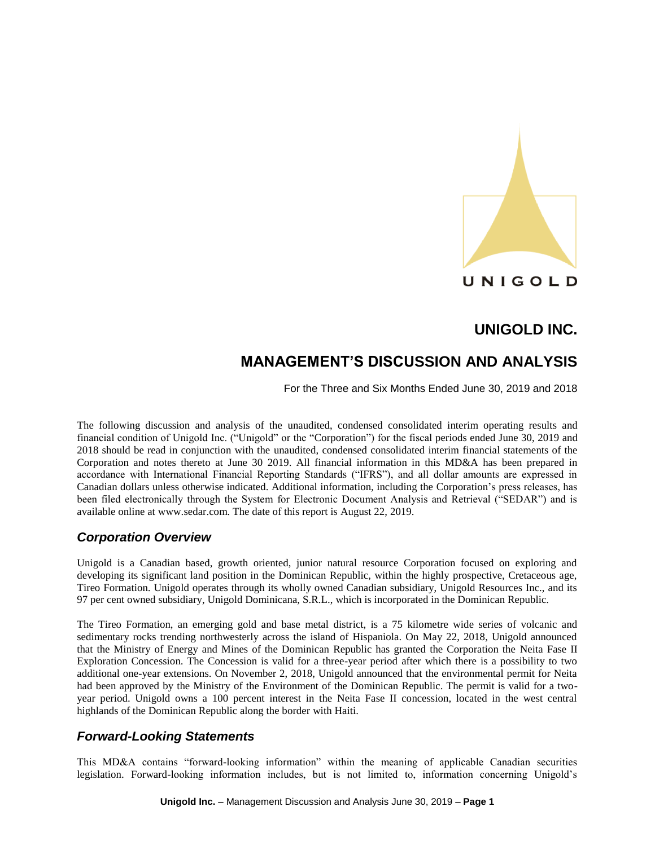

# **MANAGEMENT'S DISCUSSION AND ANALYSIS**

For the Three and Six Months Ended June 30, 2019 and 2018

The following discussion and analysis of the unaudited, condensed consolidated interim operating results and financial condition of Unigold Inc. ("Unigold" or the "Corporation") for the fiscal periods ended June 30, 2019 and 2018 should be read in conjunction with the unaudited, condensed consolidated interim financial statements of the Corporation and notes thereto at June 30 2019. All financial information in this MD&A has been prepared in accordance with International Financial Reporting Standards ("IFRS"), and all dollar amounts are expressed in Canadian dollars unless otherwise indicated. Additional information, including the Corporation's press releases, has been filed electronically through the System for Electronic Document Analysis and Retrieval ("SEDAR") and is available online at www.sedar.com. The date of this report is August 22, 2019.

# *Corporation Overview*

Unigold is a Canadian based, growth oriented, junior natural resource Corporation focused on exploring and developing its significant land position in the Dominican Republic, within the highly prospective, Cretaceous age, Tireo Formation. Unigold operates through its wholly owned Canadian subsidiary, Unigold Resources Inc., and its 97 per cent owned subsidiary, Unigold Dominicana, S.R.L., which is incorporated in the Dominican Republic.

The Tireo Formation, an emerging gold and base metal district, is a 75 kilometre wide series of volcanic and sedimentary rocks trending northwesterly across the island of Hispaniola. On May 22, 2018, Unigold announced that the Ministry of Energy and Mines of the Dominican Republic has granted the Corporation the Neita Fase II Exploration Concession. The Concession is valid for a three-year period after which there is a possibility to two additional one-year extensions. On November 2, 2018, Unigold announced that the environmental permit for Neita had been approved by the Ministry of the Environment of the Dominican Republic. The permit is valid for a twoyear period. Unigold owns a 100 percent interest in the Neita Fase II concession, located in the west central highlands of the Dominican Republic along the border with Haiti.

## *Forward-Looking Statements*

This MD&A contains "forward-looking information" within the meaning of applicable Canadian securities legislation. Forward-looking information includes, but is not limited to, information concerning Unigold's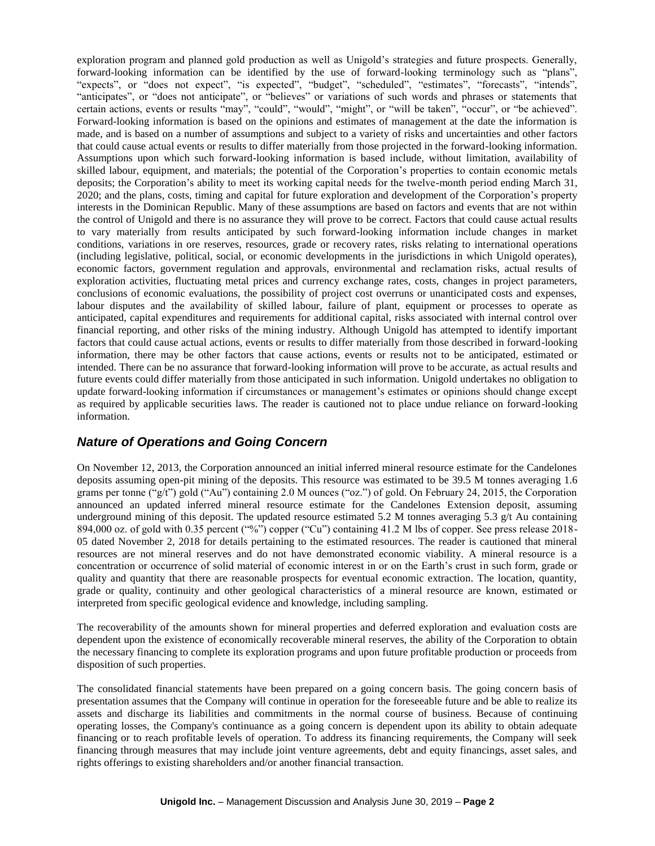exploration program and planned gold production as well as Unigold's strategies and future prospects. Generally, forward-looking information can be identified by the use of forward-looking terminology such as "plans", "expects", or "does not expect", "is expected", "budget", "scheduled", "estimates", "forecasts", "intends", "anticipates", or "does not anticipate", or "believes" or variations of such words and phrases or statements that certain actions, events or results "may", "could", "would", "might", or "will be taken", "occur", or "be achieved". Forward-looking information is based on the opinions and estimates of management at the date the information is made, and is based on a number of assumptions and subject to a variety of risks and uncertainties and other factors that could cause actual events or results to differ materially from those projected in the forward-looking information. Assumptions upon which such forward-looking information is based include, without limitation, availability of skilled labour, equipment, and materials; the potential of the Corporation's properties to contain economic metals deposits; the Corporation's ability to meet its working capital needs for the twelve-month period ending March 31, 2020; and the plans, costs, timing and capital for future exploration and development of the Corporation's property interests in the Dominican Republic. Many of these assumptions are based on factors and events that are not within the control of Unigold and there is no assurance they will prove to be correct. Factors that could cause actual results to vary materially from results anticipated by such forward-looking information include changes in market conditions, variations in ore reserves, resources, grade or recovery rates, risks relating to international operations (including legislative, political, social, or economic developments in the jurisdictions in which Unigold operates), economic factors, government regulation and approvals, environmental and reclamation risks, actual results of exploration activities, fluctuating metal prices and currency exchange rates, costs, changes in project parameters, conclusions of economic evaluations, the possibility of project cost overruns or unanticipated costs and expenses, labour disputes and the availability of skilled labour, failure of plant, equipment or processes to operate as anticipated, capital expenditures and requirements for additional capital, risks associated with internal control over financial reporting, and other risks of the mining industry. Although Unigold has attempted to identify important factors that could cause actual actions, events or results to differ materially from those described in forward-looking information, there may be other factors that cause actions, events or results not to be anticipated, estimated or intended. There can be no assurance that forward-looking information will prove to be accurate, as actual results and future events could differ materially from those anticipated in such information. Unigold undertakes no obligation to update forward-looking information if circumstances or management's estimates or opinions should change except as required by applicable securities laws. The reader is cautioned not to place undue reliance on forward-looking information.

## *Nature of Operations and Going Concern*

On November 12, 2013, the Corporation announced an initial inferred mineral resource estimate for the Candelones deposits assuming open-pit mining of the deposits. This resource was estimated to be 39.5 M tonnes averaging 1.6 grams per tonne ("g/t") gold ("Au") containing 2.0 M ounces ("oz.") of gold. On February 24, 2015, the Corporation announced an updated inferred mineral resource estimate for the Candelones Extension deposit, assuming underground mining of this deposit. The updated resource estimated 5.2 M tonnes averaging 5.3 g/t Au containing 894,000 oz. of gold with 0.35 percent ("%") copper ("Cu") containing 41.2 M lbs of copper. See press release 2018-05 dated November 2, 2018 for details pertaining to the estimated resources. The reader is cautioned that mineral resources are not mineral reserves and do not have demonstrated economic viability. A mineral resource is a concentration or occurrence of solid material of economic interest in or on the Earth's crust in such form, grade or quality and quantity that there are reasonable prospects for eventual economic extraction. The location, quantity, grade or quality, continuity and other geological characteristics of a mineral resource are known, estimated or interpreted from specific geological evidence and knowledge, including sampling.

The recoverability of the amounts shown for mineral properties and deferred exploration and evaluation costs are dependent upon the existence of economically recoverable mineral reserves, the ability of the Corporation to obtain the necessary financing to complete its exploration programs and upon future profitable production or proceeds from disposition of such properties.

The consolidated financial statements have been prepared on a going concern basis. The going concern basis of presentation assumes that the Company will continue in operation for the foreseeable future and be able to realize its assets and discharge its liabilities and commitments in the normal course of business. Because of continuing operating losses, the Company's continuance as a going concern is dependent upon its ability to obtain adequate financing or to reach profitable levels of operation. To address its financing requirements, the Company will seek financing through measures that may include joint venture agreements, debt and equity financings, asset sales, and rights offerings to existing shareholders and/or another financial transaction.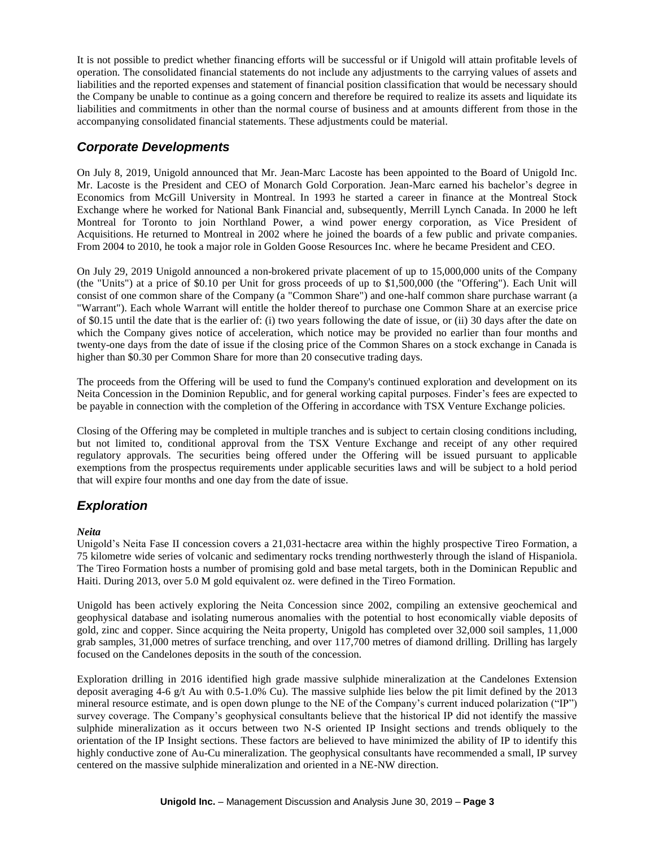It is not possible to predict whether financing efforts will be successful or if Unigold will attain profitable levels of operation. The consolidated financial statements do not include any adjustments to the carrying values of assets and liabilities and the reported expenses and statement of financial position classification that would be necessary should the Company be unable to continue as a going concern and therefore be required to realize its assets and liquidate its liabilities and commitments in other than the normal course of business and at amounts different from those in the accompanying consolidated financial statements. These adjustments could be material.

# *Corporate Developments*

On July 8, 2019, Unigold announced that Mr. Jean-Marc Lacoste has been appointed to the Board of Unigold Inc. Mr. Lacoste is the President and CEO of Monarch Gold Corporation. Jean-Marc earned his bachelor's degree in Economics from McGill University in Montreal. In 1993 he started a career in finance at the Montreal Stock Exchange where he worked for National Bank Financial and, subsequently, Merrill Lynch Canada. In 2000 he left Montreal for Toronto to join Northland Power, a wind power energy corporation, as Vice President of Acquisitions. He returned to Montreal in 2002 where he joined the boards of a few public and private companies. From 2004 to 2010, he took a major role in Golden Goose Resources Inc. where he became President and CEO.

On July 29, 2019 Unigold announced a non-brokered private placement of up to 15,000,000 units of the Company (the "Units") at a price of \$0.10 per Unit for gross proceeds of up to \$1,500,000 (the "Offering"). Each Unit will consist of one common share of the Company (a "Common Share") and one-half common share purchase warrant (a "Warrant"). Each whole Warrant will entitle the holder thereof to purchase one Common Share at an exercise price of \$0.15 until the date that is the earlier of: (i) two years following the date of issue, or (ii) 30 days after the date on which the Company gives notice of acceleration, which notice may be provided no earlier than four months and twenty-one days from the date of issue if the closing price of the Common Shares on a stock exchange in Canada is higher than \$0.30 per Common Share for more than 20 consecutive trading days.

The proceeds from the Offering will be used to fund the Company's continued exploration and development on its Neita Concession in the Dominion Republic, and for general working capital purposes. Finder's fees are expected to be payable in connection with the completion of the Offering in accordance with TSX Venture Exchange policies.

Closing of the Offering may be completed in multiple tranches and is subject to certain closing conditions including, but not limited to, conditional approval from the TSX Venture Exchange and receipt of any other required regulatory approvals. The securities being offered under the Offering will be issued pursuant to applicable exemptions from the prospectus requirements under applicable securities laws and will be subject to a hold period that will expire four months and one day from the date of issue.

# *Exploration*

### *Neita*

Unigold's Neita Fase II concession covers a 21,031-hectacre area within the highly prospective Tireo Formation, a 75 kilometre wide series of volcanic and sedimentary rocks trending northwesterly through the island of Hispaniola. The Tireo Formation hosts a number of promising gold and base metal targets, both in the Dominican Republic and Haiti. During 2013, over 5.0 M gold equivalent oz. were defined in the Tireo Formation.

Unigold has been actively exploring the Neita Concession since 2002, compiling an extensive geochemical and geophysical database and isolating numerous anomalies with the potential to host economically viable deposits of gold, zinc and copper. Since acquiring the Neita property, Unigold has completed over 32,000 soil samples, 11,000 grab samples, 31,000 metres of surface trenching, and over 117,700 metres of diamond drilling. Drilling has largely focused on the Candelones deposits in the south of the concession.

Exploration drilling in 2016 identified high grade massive sulphide mineralization at the Candelones Extension deposit averaging 4-6 g/t Au with 0.5-1.0% Cu). The massive sulphide lies below the pit limit defined by the 2013 mineral resource estimate, and is open down plunge to the NE of the Company's current induced polarization ("IP") survey coverage. The Company's geophysical consultants believe that the historical IP did not identify the massive sulphide mineralization as it occurs between two N-S oriented IP Insight sections and trends obliquely to the orientation of the IP Insight sections. These factors are believed to have minimized the ability of IP to identify this highly conductive zone of Au-Cu mineralization. The geophysical consultants have recommended a small, IP survey centered on the massive sulphide mineralization and oriented in a NE-NW direction.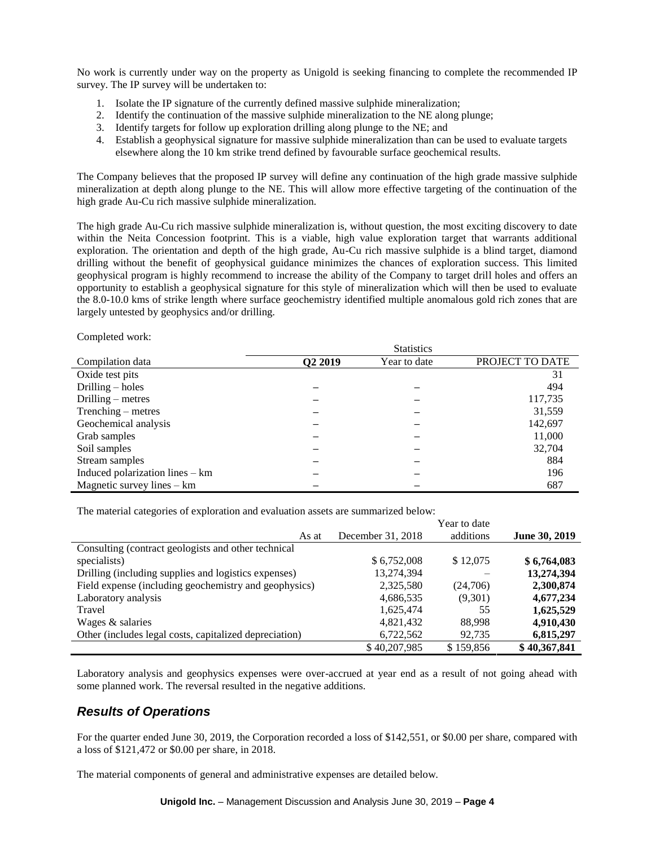No work is currently under way on the property as Unigold is seeking financing to complete the recommended IP survey. The IP survey will be undertaken to:

- 1. Isolate the IP signature of the currently defined massive sulphide mineralization;
- 2. Identify the continuation of the massive sulphide mineralization to the NE along plunge;
- 3. Identify targets for follow up exploration drilling along plunge to the NE; and
- 4. Establish a geophysical signature for massive sulphide mineralization than can be used to evaluate targets elsewhere along the 10 km strike trend defined by favourable surface geochemical results.

The Company believes that the proposed IP survey will define any continuation of the high grade massive sulphide mineralization at depth along plunge to the NE. This will allow more effective targeting of the continuation of the high grade Au-Cu rich massive sulphide mineralization.

The high grade Au-Cu rich massive sulphide mineralization is, without question, the most exciting discovery to date within the Neita Concession footprint. This is a viable, high value exploration target that warrants additional exploration. The orientation and depth of the high grade, Au-Cu rich massive sulphide is a blind target, diamond drilling without the benefit of geophysical guidance minimizes the chances of exploration success. This limited geophysical program is highly recommend to increase the ability of the Company to target drill holes and offers an opportunity to establish a geophysical signature for this style of mineralization which will then be used to evaluate the 8.0-10.0 kms of strike length where surface geochemistry identified multiple anomalous gold rich zones that are largely untested by geophysics and/or drilling.

Completed work:

|                                 | <b>Statistics</b>   |              |                 |  |  |  |
|---------------------------------|---------------------|--------------|-----------------|--|--|--|
| Compilation data                | Q <sub>2</sub> 2019 | Year to date | PROJECT TO DATE |  |  |  |
| Oxide test pits                 |                     |              | 31              |  |  |  |
| Drilling $-$ holes              |                     |              | 494             |  |  |  |
| Drilling $-$ metres             |                     |              | 117,735         |  |  |  |
| Trenching – metres              |                     |              | 31,559          |  |  |  |
| Geochemical analysis            |                     |              | 142,697         |  |  |  |
| Grab samples                    |                     |              | 11,000          |  |  |  |
| Soil samples                    |                     |              | 32,704          |  |  |  |
| Stream samples                  |                     |              | 884             |  |  |  |
| Induced polarization lines – km |                     |              | 196             |  |  |  |
| Magnetic survey lines $-$ km    |                     |              | 687             |  |  |  |

The material categories of exploration and evaluation assets are summarized below:

|                                                        |                   | Year to date |               |
|--------------------------------------------------------|-------------------|--------------|---------------|
| As at                                                  | December 31, 2018 | additions    | June 30, 2019 |
| Consulting (contract geologists and other technical    |                   |              |               |
| specialists)                                           | \$6,752,008       | \$12,075     | \$6,764,083   |
| Drilling (including supplies and logistics expenses)   | 13,274,394        |              | 13,274,394    |
| Field expense (including geochemistry and geophysics)  | 2,325,580         | (24,706)     | 2,300,874     |
| Laboratory analysis                                    | 4,686,535         | (9,301)      | 4,677,234     |
| Travel                                                 | 1,625,474         | 55           | 1,625,529     |
| Wages & salaries                                       | 4,821,432         | 88.998       | 4,910,430     |
| Other (includes legal costs, capitalized depreciation) | 6,722,562         | 92,735       | 6,815,297     |
|                                                        | \$40,207,985      | \$159.856    | \$40,367,841  |

Laboratory analysis and geophysics expenses were over-accrued at year end as a result of not going ahead with some planned work. The reversal resulted in the negative additions.

## *Results of Operations*

For the quarter ended June 30, 2019, the Corporation recorded a loss of \$142,551, or \$0.00 per share, compared with a loss of \$121,472 or \$0.00 per share, in 2018.

The material components of general and administrative expenses are detailed below.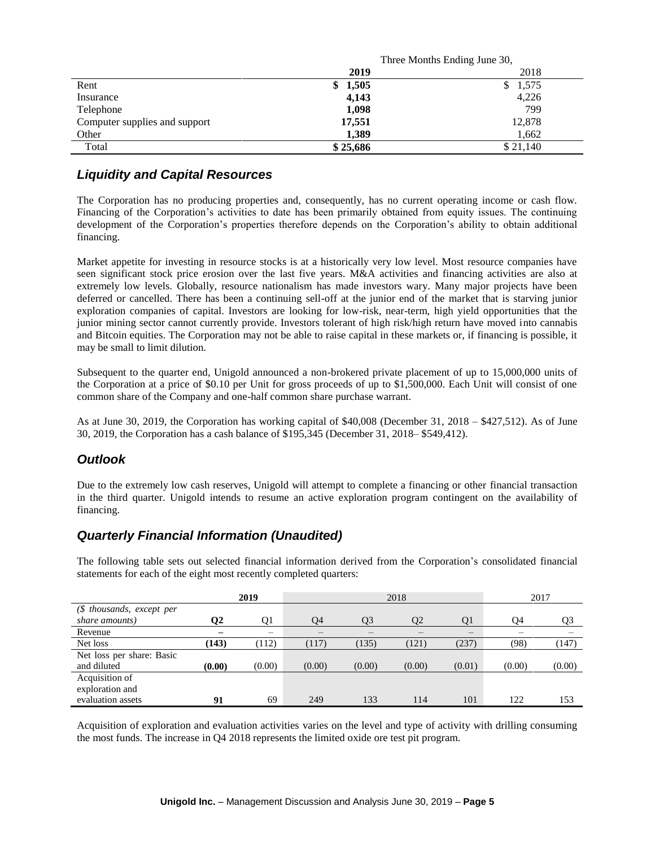|                                         | Three Months Ending June 30, |
|-----------------------------------------|------------------------------|
| 2019                                    | 2018                         |
| Rent<br>1,505<br>\$                     | 1,575<br>S.                  |
| 4,143<br>Insurance                      | 4,226                        |
| 1,098<br>Telephone                      | 799                          |
| Computer supplies and support<br>17,551 | 12,878                       |
| 1,389<br>Other                          | 1,662                        |
| \$25,686<br>Total                       | \$21,140                     |

## *Liquidity and Capital Resources*

The Corporation has no producing properties and, consequently, has no current operating income or cash flow. Financing of the Corporation's activities to date has been primarily obtained from equity issues. The continuing development of the Corporation's properties therefore depends on the Corporation's ability to obtain additional financing.

Market appetite for investing in resource stocks is at a historically very low level. Most resource companies have seen significant stock price erosion over the last five years. M&A activities and financing activities are also at extremely low levels. Globally, resource nationalism has made investors wary. Many major projects have been deferred or cancelled. There has been a continuing sell-off at the junior end of the market that is starving junior exploration companies of capital. Investors are looking for low-risk, near-term, high yield opportunities that the junior mining sector cannot currently provide. Investors tolerant of high risk/high return have moved into cannabis and Bitcoin equities. The Corporation may not be able to raise capital in these markets or, if financing is possible, it may be small to limit dilution.

Subsequent to the quarter end, Unigold announced a non-brokered private placement of up to 15,000,000 units of the Corporation at a price of \$0.10 per Unit for gross proceeds of up to \$1,500,000. Each Unit will consist of one common share of the Company and one-half common share purchase warrant.

As at June 30, 2019, the Corporation has working capital of \$40,008 (December 31, 2018 – \$427,512). As of June 30, 2019, the Corporation has a cash balance of \$195,345 (December 31, 2018– \$549,412).

# *Outlook*

Due to the extremely low cash reserves, Unigold will attempt to complete a financing or other financial transaction in the third quarter. Unigold intends to resume an active exploration program contingent on the availability of financing.

# *Quarterly Financial Information (Unaudited)*

The following table sets out selected financial information derived from the Corporation's consolidated financial statements for each of the eight most recently completed quarters:

|                           |        | 2019   |        |        | 2018   |        | 2017   |        |  |
|---------------------------|--------|--------|--------|--------|--------|--------|--------|--------|--|
| $$$ thousands, except per |        |        |        |        |        |        |        |        |  |
| share amounts)            | 02     | Q1     | 04     | O3     | 02     | O1     | 94     | Q3     |  |
| Revenue                   |        | —      | –      |        |        | —      |        |        |  |
| Net loss                  | (143)  | (112)  | (117)  | (135)  | (121)  | (237)  | (98)   | (147)  |  |
| Net loss per share: Basic |        |        |        |        |        |        |        |        |  |
| and diluted               | (0.00) | (0.00) | (0.00) | (0.00) | (0.00) | (0.01) | (0.00) | (0.00) |  |
| Acquisition of            |        |        |        |        |        |        |        |        |  |
| exploration and           |        |        |        |        |        |        |        |        |  |
| evaluation assets         | 91     | 69     | 249    | 133    | 114    | 101    | 122    | 153    |  |

Acquisition of exploration and evaluation activities varies on the level and type of activity with drilling consuming the most funds. The increase in Q4 2018 represents the limited oxide ore test pit program.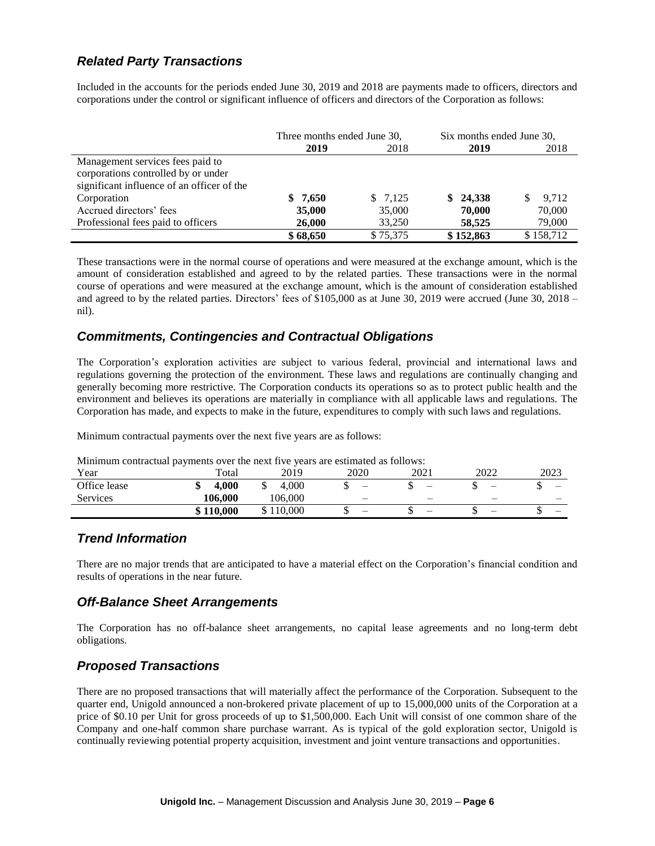# *Related Party Transactions*

Included in the accounts for the periods ended June 30, 2019 and 2018 are payments made to officers, directors and corporations under the control or significant influence of officers and directors of the Corporation as follows:

|                                            | Three months ended June 30, |          | Six months ended June 30, |             |  |
|--------------------------------------------|-----------------------------|----------|---------------------------|-------------|--|
|                                            | 2019                        | 2018     | 2019                      | 2018        |  |
| Management services fees paid to           |                             |          |                           |             |  |
| corporations controlled by or under        |                             |          |                           |             |  |
| significant influence of an officer of the |                             |          |                           |             |  |
| Corporation                                | \$7.650                     | \$7,125  | \$24,338                  | 9.712<br>S. |  |
| Accrued directors' fees                    | 35,000                      | 35,000   | 70,000                    | 70,000      |  |
| Professional fees paid to officers         | 26,000                      | 33,250   | 58,525                    | 79,000      |  |
|                                            | \$68,650                    | \$75,375 | \$152,863                 | \$158,712   |  |

These transactions were in the normal course of operations and were measured at the exchange amount, which is the amount of consideration established and agreed to by the related parties. These transactions were in the normal course of operations and were measured at the exchange amount, which is the amount of consideration established and agreed to by the related parties. Directors' fees of \$105,000 as at June 30, 2019 were accrued (June 30, 2018 – nil).

## *Commitments, Contingencies and Contractual Obligations*

The Corporation's exploration activities are subject to various federal, provincial and international laws and regulations governing the protection of the environment. These laws and regulations are continually changing and generally becoming more restrictive. The Corporation conducts its operations so as to protect public health and the environment and believes its operations are materially in compliance with all applicable laws and regulations. The Corporation has made, and expects to make in the future, expenditures to comply with such laws and regulations.

Minimum contractual payments over the next five years are as follows:

| <b>NUMBER 1989 IN A SET OF STATE IN A SET OF STATE IN A SET OF STATE IN A SET OF STATE I</b> |           |           |      |      |      |      |  |
|----------------------------------------------------------------------------------------------|-----------|-----------|------|------|------|------|--|
| Year                                                                                         | Total     | 2019      | 2020 | 2021 | 2022 | 2023 |  |
| Office lease                                                                                 | 4.000     | 4.000     |      |      |      |      |  |
| Services                                                                                     | 106.000   | 106.000   |      |      |      |      |  |
|                                                                                              | \$110,000 | \$110,000 |      | -    | _    |      |  |

Minimum contractual payments over the next five years are estimated as follows:

### *Trend Information*

There are no major trends that are anticipated to have a material effect on the Corporation's financial condition and results of operations in the near future.

## *Off-Balance Sheet Arrangements*

The Corporation has no off-balance sheet arrangements, no capital lease agreements and no long-term debt obligations.

## *Proposed Transactions*

There are no proposed transactions that will materially affect the performance of the Corporation. Subsequent to the quarter end, Unigold announced a non-brokered private placement of up to 15,000,000 units of the Corporation at a price of \$0.10 per Unit for gross proceeds of up to \$1,500,000. Each Unit will consist of one common share of the Company and one-half common share purchase warrant. As is typical of the gold exploration sector, Unigold is continually reviewing potential property acquisition, investment and joint venture transactions and opportunities.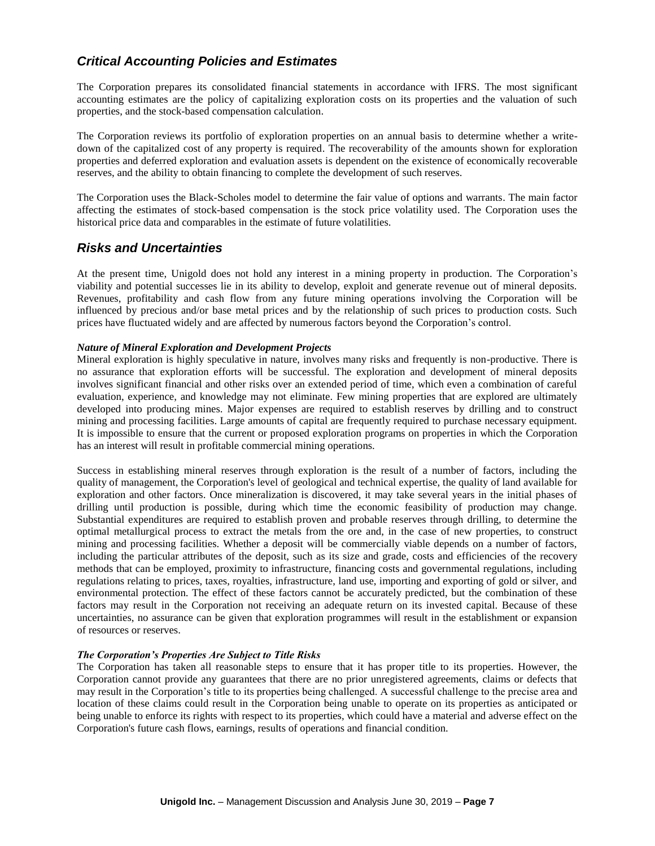## *Critical Accounting Policies and Estimates*

The Corporation prepares its consolidated financial statements in accordance with IFRS. The most significant accounting estimates are the policy of capitalizing exploration costs on its properties and the valuation of such properties, and the stock-based compensation calculation.

The Corporation reviews its portfolio of exploration properties on an annual basis to determine whether a writedown of the capitalized cost of any property is required. The recoverability of the amounts shown for exploration properties and deferred exploration and evaluation assets is dependent on the existence of economically recoverable reserves, and the ability to obtain financing to complete the development of such reserves.

The Corporation uses the Black-Scholes model to determine the fair value of options and warrants. The main factor affecting the estimates of stock-based compensation is the stock price volatility used. The Corporation uses the historical price data and comparables in the estimate of future volatilities.

## *Risks and Uncertainties*

At the present time, Unigold does not hold any interest in a mining property in production. The Corporation's viability and potential successes lie in its ability to develop, exploit and generate revenue out of mineral deposits. Revenues, profitability and cash flow from any future mining operations involving the Corporation will be influenced by precious and/or base metal prices and by the relationship of such prices to production costs. Such prices have fluctuated widely and are affected by numerous factors beyond the Corporation's control.

### *Nature of Mineral Exploration and Development Projects*

Mineral exploration is highly speculative in nature, involves many risks and frequently is non-productive. There is no assurance that exploration efforts will be successful. The exploration and development of mineral deposits involves significant financial and other risks over an extended period of time, which even a combination of careful evaluation, experience, and knowledge may not eliminate. Few mining properties that are explored are ultimately developed into producing mines. Major expenses are required to establish reserves by drilling and to construct mining and processing facilities. Large amounts of capital are frequently required to purchase necessary equipment. It is impossible to ensure that the current or proposed exploration programs on properties in which the Corporation has an interest will result in profitable commercial mining operations.

Success in establishing mineral reserves through exploration is the result of a number of factors, including the quality of management, the Corporation's level of geological and technical expertise, the quality of land available for exploration and other factors. Once mineralization is discovered, it may take several years in the initial phases of drilling until production is possible, during which time the economic feasibility of production may change. Substantial expenditures are required to establish proven and probable reserves through drilling, to determine the optimal metallurgical process to extract the metals from the ore and, in the case of new properties, to construct mining and processing facilities. Whether a deposit will be commercially viable depends on a number of factors, including the particular attributes of the deposit, such as its size and grade, costs and efficiencies of the recovery methods that can be employed, proximity to infrastructure, financing costs and governmental regulations, including regulations relating to prices, taxes, royalties, infrastructure, land use, importing and exporting of gold or silver, and environmental protection. The effect of these factors cannot be accurately predicted, but the combination of these factors may result in the Corporation not receiving an adequate return on its invested capital. Because of these uncertainties, no assurance can be given that exploration programmes will result in the establishment or expansion of resources or reserves.

### *The Corporation's Properties Are Subject to Title Risks*

The Corporation has taken all reasonable steps to ensure that it has proper title to its properties. However, the Corporation cannot provide any guarantees that there are no prior unregistered agreements, claims or defects that may result in the Corporation's title to its properties being challenged. A successful challenge to the precise area and location of these claims could result in the Corporation being unable to operate on its properties as anticipated or being unable to enforce its rights with respect to its properties, which could have a material and adverse effect on the Corporation's future cash flows, earnings, results of operations and financial condition.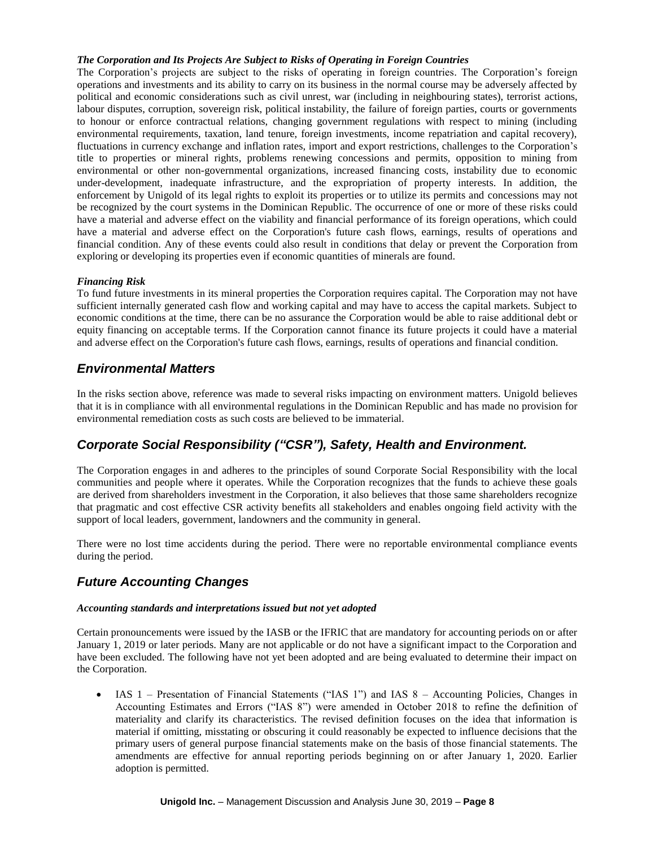### *The Corporation and Its Projects Are Subject to Risks of Operating in Foreign Countries*

The Corporation's projects are subject to the risks of operating in foreign countries. The Corporation's foreign operations and investments and its ability to carry on its business in the normal course may be adversely affected by political and economic considerations such as civil unrest, war (including in neighbouring states), terrorist actions, labour disputes, corruption, sovereign risk, political instability, the failure of foreign parties, courts or governments to honour or enforce contractual relations, changing government regulations with respect to mining (including environmental requirements, taxation, land tenure, foreign investments, income repatriation and capital recovery), fluctuations in currency exchange and inflation rates, import and export restrictions, challenges to the Corporation's title to properties or mineral rights, problems renewing concessions and permits, opposition to mining from environmental or other non-governmental organizations, increased financing costs, instability due to economic under-development, inadequate infrastructure, and the expropriation of property interests. In addition, the enforcement by Unigold of its legal rights to exploit its properties or to utilize its permits and concessions may not be recognized by the court systems in the Dominican Republic. The occurrence of one or more of these risks could have a material and adverse effect on the viability and financial performance of its foreign operations, which could have a material and adverse effect on the Corporation's future cash flows, earnings, results of operations and financial condition. Any of these events could also result in conditions that delay or prevent the Corporation from exploring or developing its properties even if economic quantities of minerals are found.

#### *Financing Risk*

To fund future investments in its mineral properties the Corporation requires capital. The Corporation may not have sufficient internally generated cash flow and working capital and may have to access the capital markets. Subject to economic conditions at the time, there can be no assurance the Corporation would be able to raise additional debt or equity financing on acceptable terms. If the Corporation cannot finance its future projects it could have a material and adverse effect on the Corporation's future cash flows, earnings, results of operations and financial condition.

## *Environmental Matters*

In the risks section above, reference was made to several risks impacting on environment matters. Unigold believes that it is in compliance with all environmental regulations in the Dominican Republic and has made no provision for environmental remediation costs as such costs are believed to be immaterial.

# *Corporate Social Responsibility ("CSR"), Safety, Health and Environment.*

The Corporation engages in and adheres to the principles of sound Corporate Social Responsibility with the local communities and people where it operates. While the Corporation recognizes that the funds to achieve these goals are derived from shareholders investment in the Corporation, it also believes that those same shareholders recognize that pragmatic and cost effective CSR activity benefits all stakeholders and enables ongoing field activity with the support of local leaders, government, landowners and the community in general.

There were no lost time accidents during the period. There were no reportable environmental compliance events during the period.

## *Future Accounting Changes*

#### *Accounting standards and interpretations issued but not yet adopted*

Certain pronouncements were issued by the IASB or the IFRIC that are mandatory for accounting periods on or after January 1, 2019 or later periods. Many are not applicable or do not have a significant impact to the Corporation and have been excluded. The following have not yet been adopted and are being evaluated to determine their impact on the Corporation.

• IAS 1 – Presentation of Financial Statements ("IAS 1") and IAS 8 – Accounting Policies, Changes in Accounting Estimates and Errors ("IAS 8") were amended in October 2018 to refine the definition of materiality and clarify its characteristics. The revised definition focuses on the idea that information is material if omitting, misstating or obscuring it could reasonably be expected to influence decisions that the primary users of general purpose financial statements make on the basis of those financial statements. The amendments are effective for annual reporting periods beginning on or after January 1, 2020. Earlier adoption is permitted.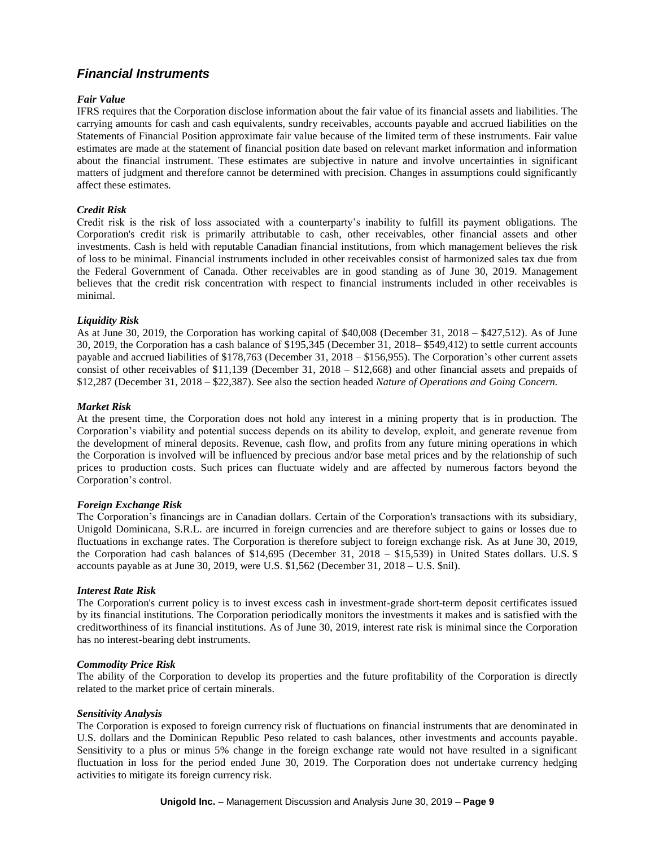# *Financial Instruments*

### *Fair Value*

IFRS requires that the Corporation disclose information about the fair value of its financial assets and liabilities. The carrying amounts for cash and cash equivalents, sundry receivables, accounts payable and accrued liabilities on the Statements of Financial Position approximate fair value because of the limited term of these instruments. Fair value estimates are made at the statement of financial position date based on relevant market information and information about the financial instrument. These estimates are subjective in nature and involve uncertainties in significant matters of judgment and therefore cannot be determined with precision. Changes in assumptions could significantly affect these estimates.

### *Credit Risk*

Credit risk is the risk of loss associated with a counterparty's inability to fulfill its payment obligations. The Corporation's credit risk is primarily attributable to cash, other receivables, other financial assets and other investments. Cash is held with reputable Canadian financial institutions, from which management believes the risk of loss to be minimal. Financial instruments included in other receivables consist of harmonized sales tax due from the Federal Government of Canada. Other receivables are in good standing as of June 30, 2019. Management believes that the credit risk concentration with respect to financial instruments included in other receivables is minimal.

### *Liquidity Risk*

As at June 30, 2019, the Corporation has working capital of \$40,008 (December 31, 2018 – \$427,512). As of June 30, 2019, the Corporation has a cash balance of \$195,345 (December 31, 2018– \$549,412) to settle current accounts payable and accrued liabilities of \$178,763 (December 31, 2018 – \$156,955). The Corporation's other current assets consist of other receivables of \$11,139 (December 31, 2018 – \$12,668) and other financial assets and prepaids of \$12,287 (December 31, 2018 – \$22,387). See also the section headed *Nature of Operations and Going Concern.*

#### *Market Risk*

At the present time, the Corporation does not hold any interest in a mining property that is in production. The Corporation's viability and potential success depends on its ability to develop, exploit, and generate revenue from the development of mineral deposits. Revenue, cash flow, and profits from any future mining operations in which the Corporation is involved will be influenced by precious and/or base metal prices and by the relationship of such prices to production costs. Such prices can fluctuate widely and are affected by numerous factors beyond the Corporation's control.

#### *Foreign Exchange Risk*

The Corporation's financings are in Canadian dollars. Certain of the Corporation's transactions with its subsidiary, Unigold Dominicana, S.R.L. are incurred in foreign currencies and are therefore subject to gains or losses due to fluctuations in exchange rates. The Corporation is therefore subject to foreign exchange risk. As at June 30, 2019, the Corporation had cash balances of \$14,695 (December 31, 2018 – \$15,539) in United States dollars. U.S. \$ accounts payable as at June 30, 2019, were U.S. \$1,562 (December 31, 2018 – U.S. \$nil).

#### *Interest Rate Risk*

The Corporation's current policy is to invest excess cash in investment-grade short-term deposit certificates issued by its financial institutions. The Corporation periodically monitors the investments it makes and is satisfied with the creditworthiness of its financial institutions. As of June 30, 2019, interest rate risk is minimal since the Corporation has no interest-bearing debt instruments.

#### *Commodity Price Risk*

The ability of the Corporation to develop its properties and the future profitability of the Corporation is directly related to the market price of certain minerals.

#### *Sensitivity Analysis*

The Corporation is exposed to foreign currency risk of fluctuations on financial instruments that are denominated in U.S. dollars and the Dominican Republic Peso related to cash balances, other investments and accounts payable. Sensitivity to a plus or minus 5% change in the foreign exchange rate would not have resulted in a significant fluctuation in loss for the period ended June 30, 2019. The Corporation does not undertake currency hedging activities to mitigate its foreign currency risk.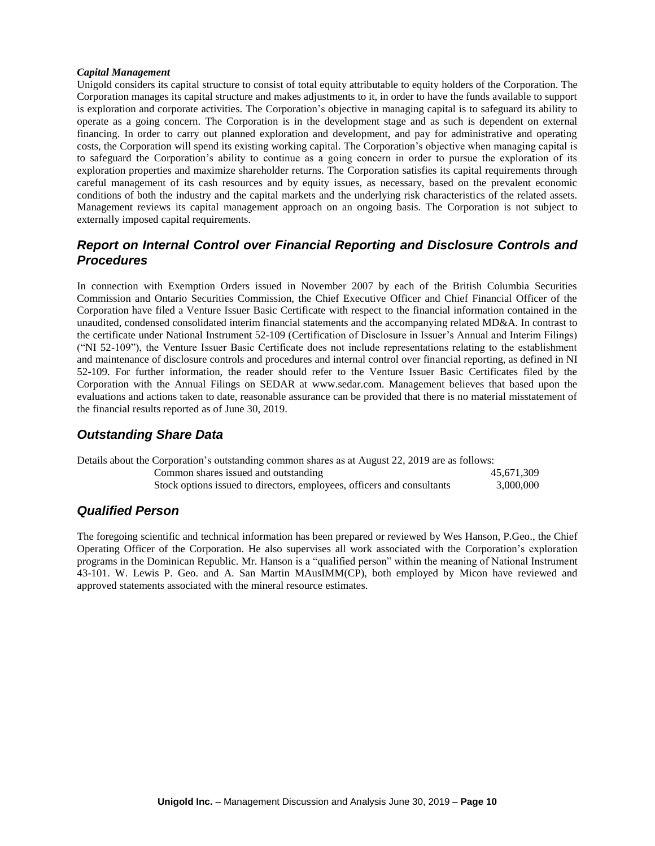#### *Capital Management*

Unigold considers its capital structure to consist of total equity attributable to equity holders of the Corporation. The Corporation manages its capital structure and makes adjustments to it, in order to have the funds available to support is exploration and corporate activities. The Corporation's objective in managing capital is to safeguard its ability to operate as a going concern. The Corporation is in the development stage and as such is dependent on external financing. In order to carry out planned exploration and development, and pay for administrative and operating costs, the Corporation will spend its existing working capital. The Corporation's objective when managing capital is to safeguard the Corporation's ability to continue as a going concern in order to pursue the exploration of its exploration properties and maximize shareholder returns. The Corporation satisfies its capital requirements through careful management of its cash resources and by equity issues, as necessary, based on the prevalent economic conditions of both the industry and the capital markets and the underlying risk characteristics of the related assets. Management reviews its capital management approach on an ongoing basis. The Corporation is not subject to externally imposed capital requirements.

## *Report on Internal Control over Financial Reporting and Disclosure Controls and Procedures*

In connection with Exemption Orders issued in November 2007 by each of the British Columbia Securities Commission and Ontario Securities Commission, the Chief Executive Officer and Chief Financial Officer of the Corporation have filed a Venture Issuer Basic Certificate with respect to the financial information contained in the unaudited, condensed consolidated interim financial statements and the accompanying related MD&A. In contrast to the certificate under National Instrument 52-109 (Certification of Disclosure in Issuer's Annual and Interim Filings) ("NI 52-109"), the Venture Issuer Basic Certificate does not include representations relating to the establishment and maintenance of disclosure controls and procedures and internal control over financial reporting, as defined in NI 52-109. For further information, the reader should refer to the Venture Issuer Basic Certificates filed by the Corporation with the Annual Filings on SEDAR at www.sedar.com. Management believes that based upon the evaluations and actions taken to date, reasonable assurance can be provided that there is no material misstatement of the financial results reported as of June 30, 2019.

## *Outstanding Share Data*

| Details about the Corporation's outstanding common shares as at August 22, 2019 are as follows: |            |  |  |
|-------------------------------------------------------------------------------------------------|------------|--|--|
| Common shares issued and outstanding                                                            | 45.671.309 |  |  |
| Stock options issued to directors, employees, officers and consultants                          | 3,000,000  |  |  |

### *Qualified Person*

The foregoing scientific and technical information has been prepared or reviewed by Wes Hanson, P.Geo., the Chief Operating Officer of the Corporation. He also supervises all work associated with the Corporation's exploration programs in the Dominican Republic. Mr. Hanson is a "qualified person" within the meaning of National Instrument 43-101. W. Lewis P. Geo. and A. San Martin MAusIMM(CP), both employed by Micon have reviewed and approved statements associated with the mineral resource estimates.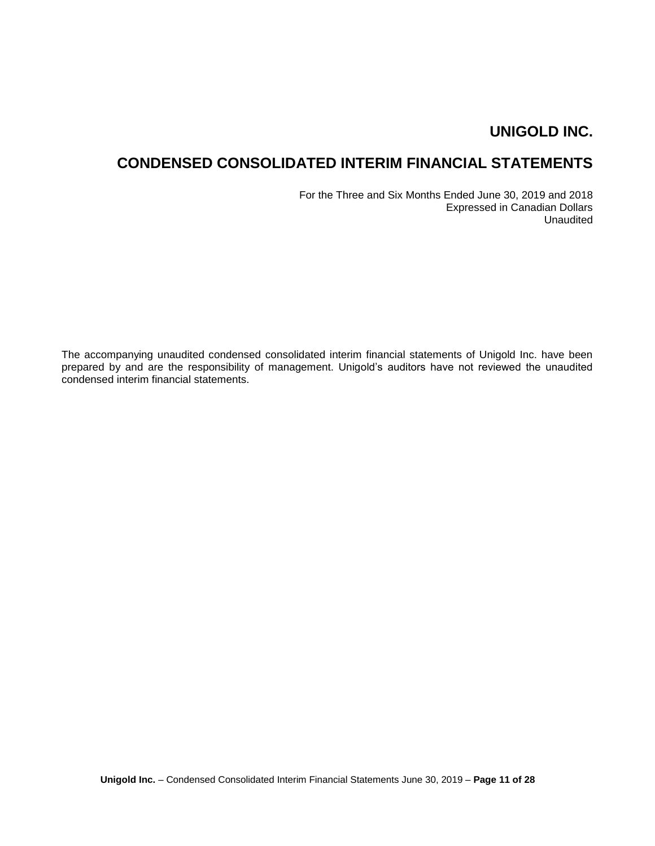# **CONDENSED CONSOLIDATED INTERIM FINANCIAL STATEMENTS**

For the Three and Six Months Ended June 30, 2019 and 2018 Expressed in Canadian Dollars Unaudited

The accompanying unaudited condensed consolidated interim financial statements of Unigold Inc. have been prepared by and are the responsibility of management. Unigold's auditors have not reviewed the unaudited condensed interim financial statements.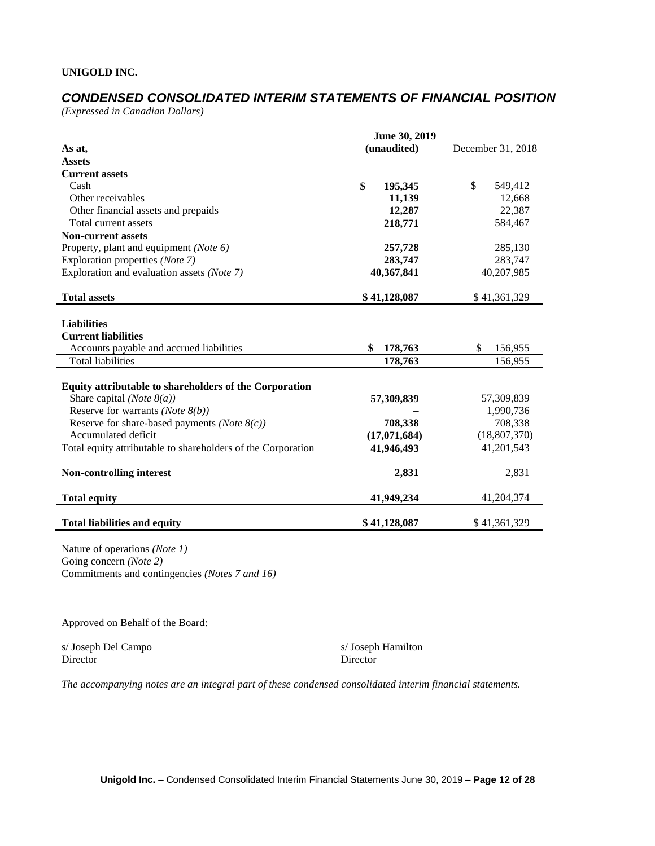# *CONDENSED CONSOLIDATED INTERIM STATEMENTS OF FINANCIAL POSITION*

*(Expressed in Canadian Dollars)*

|                                                              | June 30, 2019                    |                |
|--------------------------------------------------------------|----------------------------------|----------------|
| As at,                                                       | (unaudited)<br>December 31, 2018 |                |
| <b>Assets</b>                                                |                                  |                |
| <b>Current assets</b>                                        |                                  |                |
| Cash                                                         | \$<br>195,345                    | \$<br>549,412  |
| Other receivables                                            | 11,139                           | 12,668         |
| Other financial assets and prepaids                          | 12,287                           | 22,387         |
| Total current assets                                         | 218,771                          | 584,467        |
| <b>Non-current assets</b>                                    |                                  |                |
| Property, plant and equipment (Note 6)                       | 257,728                          | 285,130        |
| Exploration properties (Note 7)                              | 283,747                          | 283,747        |
| Exploration and evaluation assets (Note 7)                   | 40,367,841                       | 40,207,985     |
|                                                              |                                  |                |
| <b>Total assets</b>                                          | \$41,128,087                     | \$41,361,329   |
|                                                              |                                  |                |
| <b>Liabilities</b>                                           |                                  |                |
| <b>Current liabilities</b>                                   |                                  |                |
| Accounts payable and accrued liabilities                     | \$<br>178,763                    | \$<br>156,955  |
| <b>Total liabilities</b>                                     | 178,763                          | 156,955        |
|                                                              |                                  |                |
| Equity attributable to shareholders of the Corporation       |                                  |                |
| Share capital (Note $8(a)$ )                                 | 57,309,839                       | 57,309,839     |
| Reserve for warrants (Note $8(b)$ )                          |                                  | 1,990,736      |
| Reserve for share-based payments ( <i>Note</i> $8(c)$ )      | 708,338                          | 708,338        |
| Accumulated deficit                                          | (17,071,684)                     | (18, 807, 370) |
| Total equity attributable to shareholders of the Corporation | 41,946,493                       | 41,201,543     |
|                                                              |                                  |                |
| <b>Non-controlling interest</b>                              | 2,831                            | 2,831          |
|                                                              |                                  |                |
| <b>Total equity</b>                                          | 41,949,234                       | 41,204,374     |
| <b>Total liabilities and equity</b>                          | \$41,128,087                     | \$41,361,329   |

Nature of operations *(Note 1)* Going concern *(Note 2)* Commitments and contingencies *(Notes 7 and 16)*

Approved on Behalf of the Board:

s/ Joseph Del Campo s/ Joseph Hamilton Director Director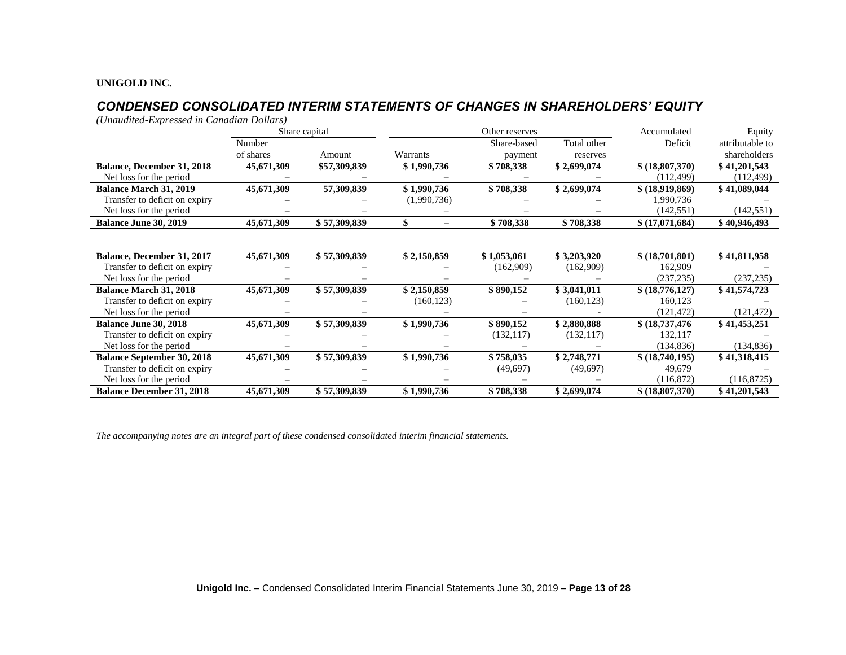# *CONDENSED CONSOLIDATED INTERIM STATEMENTS OF CHANGES IN SHAREHOLDERS' EQUITY*

*(Unaudited-Expressed in Canadian Dollars)*

|                                   |            | Share capital | Other reserves |             |             | Accumulated      | Equity          |
|-----------------------------------|------------|---------------|----------------|-------------|-------------|------------------|-----------------|
|                                   | Number     |               |                | Share-based | Total other | Deficit          | attributable to |
|                                   | of shares  | Amount        | Warrants       | payment     | reserves    |                  | shareholders    |
| <b>Balance, December 31, 2018</b> | 45,671,309 | \$57,309,839  | \$1,990,736    | \$708,338   | \$2,699,074 | \$ (18,807,370)  | \$41,201,543    |
| Net loss for the period           |            |               |                |             |             | (112, 499)       | (112, 499)      |
| <b>Balance March 31, 2019</b>     | 45,671,309 | 57,309,839    | \$1,990,736    | \$708,338   | \$2,699,074 | \$ (18,919,869)  | \$41,089,044    |
| Transfer to deficit on expiry     |            |               | (1,990,736)    |             |             | 1,990,736        |                 |
| Net loss for the period           |            |               |                |             |             | (142, 551)       | (142, 551)      |
| <b>Balance June 30, 2019</b>      | 45,671,309 | \$57,309,839  | \$             | \$708,338   | \$708,338   | \$(17,071,684)   | \$40,946,493    |
|                                   |            |               |                |             |             |                  |                 |
|                                   |            |               |                |             |             |                  |                 |
| Balance, December 31, 2017        | 45,671,309 | \$57,309,839  | \$2,150,859    | \$1,053,061 | \$3,203,920 | \$ (18,701,801)  | \$41,811,958    |
| Transfer to deficit on expiry     |            |               |                | (162,909)   | (162,909)   | 162,909          |                 |
| Net loss for the period           |            |               |                |             |             | (237, 235)       | (237, 235)      |
| <b>Balance March 31, 2018</b>     | 45,671,309 | \$57,309,839  | \$2,150,859    | \$890,152   | \$3,041,011 | \$(18,776,127)   | \$41,574,723    |
| Transfer to deficit on expiry     |            |               | (160, 123)     |             | (160, 123)  | 160,123          |                 |
| Net loss for the period           |            |               |                |             |             | (121, 472)       | (121, 472)      |
| <b>Balance June 30, 2018</b>      | 45,671,309 | \$57,309,839  | \$1,990,736    | \$890,152   | \$2,880,888 | \$(18, 737, 476) | \$41,453,251    |
| Transfer to deficit on expiry     |            |               |                | (132, 117)  | (132, 117)  | 132,117          |                 |
| Net loss for the period           |            |               |                |             |             | (134, 836)       | (134, 836)      |
| <b>Balance September 30, 2018</b> | 45,671,309 | \$57,309,839  | \$1,990,736    | \$758,035   | \$2,748,771 | \$ (18,740,195)  | \$41,318,415    |
| Transfer to deficit on expiry     |            |               |                | (49,697)    | (49,697)    | 49,679           |                 |
| Net loss for the period           |            |               |                |             |             | (116,872)        | (116,8725)      |
| <b>Balance December 31, 2018</b>  | 45,671,309 | \$57,309,839  | \$1,990,736    | \$708,338   | \$2,699,074 | \$ (18,807,370)  | \$41,201,543    |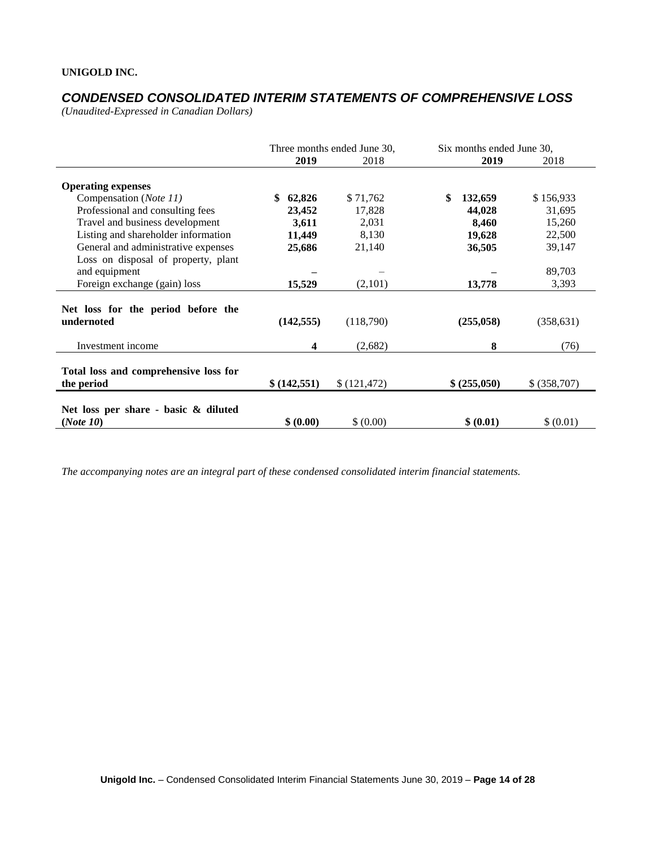# *CONDENSED CONSOLIDATED INTERIM STATEMENTS OF COMPREHENSIVE LOSS*

*(Unaudited-Expressed in Canadian Dollars)* 

|                                                      |               | Three months ended June 30, | Six months ended June 30, |              |  |
|------------------------------------------------------|---------------|-----------------------------|---------------------------|--------------|--|
|                                                      | 2019          | 2018                        | 2019                      | 2018         |  |
| <b>Operating expenses</b>                            |               |                             |                           |              |  |
| Compensation (Note 11)                               | 62,826<br>\$  | \$71,762                    | \$<br>132,659             | \$156,933    |  |
| Professional and consulting fees                     | 23,452        | 17,828                      | 44,028                    | 31,695       |  |
| Travel and business development                      | 3,611         | 2,031                       | 8,460                     | 15,260       |  |
| Listing and shareholder information                  | 11,449        | 8,130                       | 19,628                    | 22,500       |  |
| General and administrative expenses                  | 25,686        | 21,140                      | 36,505                    | 39,147       |  |
| Loss on disposal of property, plant                  |               |                             |                           |              |  |
| and equipment                                        |               |                             |                           | 89,703       |  |
| Foreign exchange (gain) loss                         | 15,529        | (2,101)                     | 13,778                    | 3,393        |  |
| Net loss for the period before the<br>undernoted     | (142, 555)    | (118,790)                   | (255,058)                 | (358, 631)   |  |
| Investment income                                    | 4             | (2,682)                     | 8                         | (76)         |  |
| Total loss and comprehensive loss for<br>the period  | \$ (142, 551) | \$(121, 472)                | \$ (255,050)              | \$ (358,707) |  |
| Net loss per share - basic $\&$ diluted<br>(Note 10) | \$ (0.00)     | \$ (0.00)                   | \$ (0.01)                 | \$ (0.01)    |  |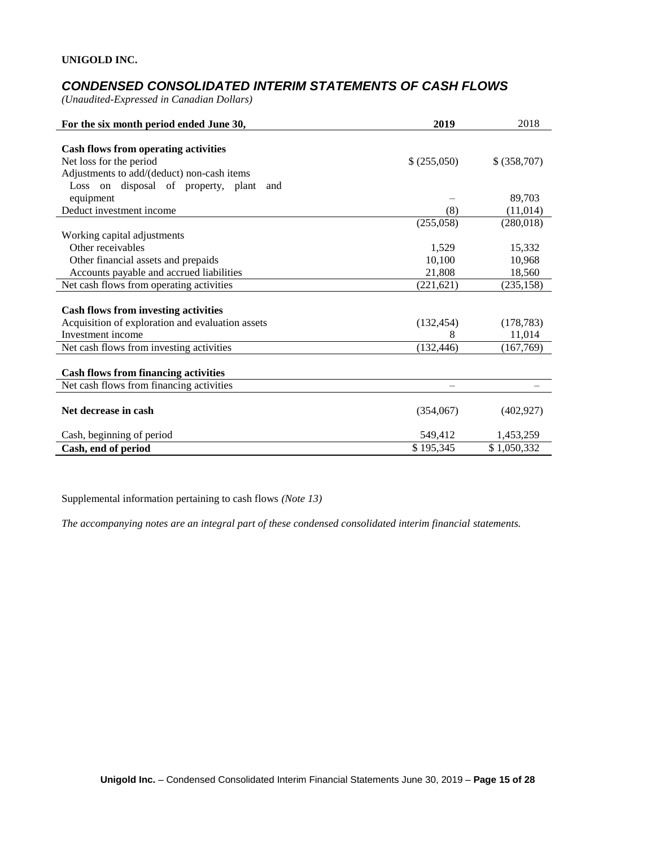# *CONDENSED CONSOLIDATED INTERIM STATEMENTS OF CASH FLOWS*

*(Unaudited-Expressed in Canadian Dollars)* 

| For the six month period ended June 30,          | 2019        | 2018         |
|--------------------------------------------------|-------------|--------------|
|                                                  |             |              |
| <b>Cash flows from operating activities</b>      |             |              |
| Net loss for the period                          | \$(255,050) | \$ (358,707) |
| Adjustments to add/(deduct) non-cash items       |             |              |
| Loss on disposal of property, plant<br>and       |             |              |
| equipment                                        |             | 89,703       |
| Deduct investment income                         | (8)         | (11, 014)    |
|                                                  | (255,058)   | (280,018)    |
| Working capital adjustments                      |             |              |
| Other receivables                                | 1,529       | 15,332       |
| Other financial assets and prepaids              | 10,100      | 10,968       |
| Accounts payable and accrued liabilities         | 21,808      | 18,560       |
| Net cash flows from operating activities         | (221, 621)  | (235, 158)   |
|                                                  |             |              |
| <b>Cash flows from investing activities</b>      |             |              |
| Acquisition of exploration and evaluation assets | (132, 454)  | (178, 783)   |
| Investment income                                | 8           | 11,014       |
| Net cash flows from investing activities         | (132, 446)  | (167,769)    |
|                                                  |             |              |
| <b>Cash flows from financing activities</b>      |             |              |
| Net cash flows from financing activities         |             |              |
|                                                  |             |              |
| Net decrease in cash                             | (354,067)   | (402, 927)   |
|                                                  |             |              |
| Cash, beginning of period                        | 549,412     | 1,453,259    |
| Cash, end of period                              | \$195,345   | \$1,050,332  |

Supplemental information pertaining to cash flows *(Note 13)*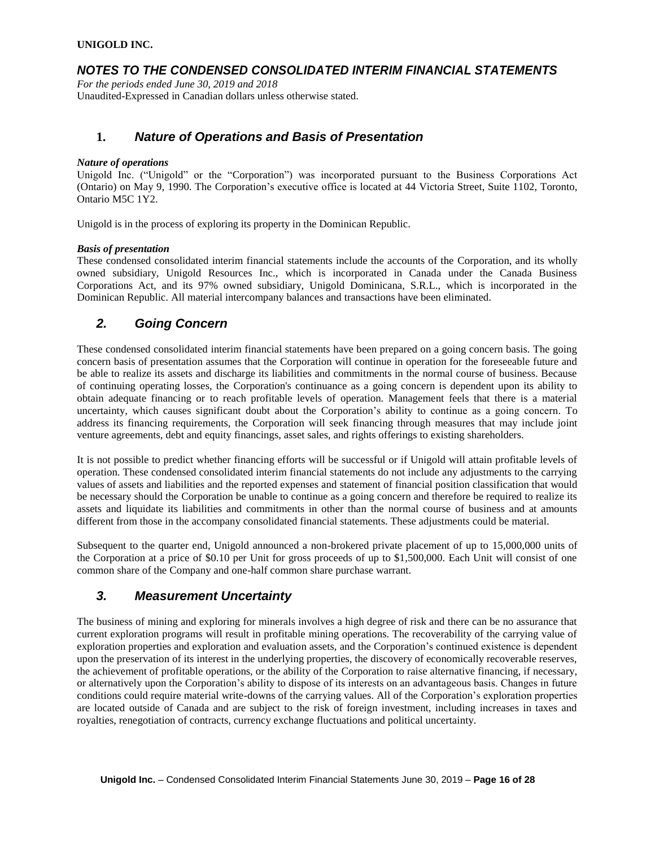## *NOTES TO THE CONDENSED CONSOLIDATED INTERIM FINANCIAL STATEMENTS*

*For the periods ended June 30, 2019 and 2018* Unaudited-Expressed in Canadian dollars unless otherwise stated.

## **1.** *Nature of Operations and Basis of Presentation*

### *Nature of operations*

Unigold Inc. ("Unigold" or the "Corporation") was incorporated pursuant to the Business Corporations Act (Ontario) on May 9, 1990. The Corporation's executive office is located at 44 Victoria Street, Suite 1102, Toronto, Ontario M5C 1Y2.

Unigold is in the process of exploring its property in the Dominican Republic.

### *Basis of presentation*

These condensed consolidated interim financial statements include the accounts of the Corporation, and its wholly owned subsidiary, Unigold Resources Inc., which is incorporated in Canada under the Canada Business Corporations Act, and its 97% owned subsidiary, Unigold Dominicana, S.R.L., which is incorporated in the Dominican Republic. All material intercompany balances and transactions have been eliminated.

## *2. Going Concern*

These condensed consolidated interim financial statements have been prepared on a going concern basis. The going concern basis of presentation assumes that the Corporation will continue in operation for the foreseeable future and be able to realize its assets and discharge its liabilities and commitments in the normal course of business. Because of continuing operating losses, the Corporation's continuance as a going concern is dependent upon its ability to obtain adequate financing or to reach profitable levels of operation. Management feels that there is a material uncertainty, which causes significant doubt about the Corporation's ability to continue as a going concern. To address its financing requirements, the Corporation will seek financing through measures that may include joint venture agreements, debt and equity financings, asset sales, and rights offerings to existing shareholders.

It is not possible to predict whether financing efforts will be successful or if Unigold will attain profitable levels of operation. These condensed consolidated interim financial statements do not include any adjustments to the carrying values of assets and liabilities and the reported expenses and statement of financial position classification that would be necessary should the Corporation be unable to continue as a going concern and therefore be required to realize its assets and liquidate its liabilities and commitments in other than the normal course of business and at amounts different from those in the accompany consolidated financial statements. These adjustments could be material.

Subsequent to the quarter end, Unigold announced a non-brokered private placement of up to 15,000,000 units of the Corporation at a price of \$0.10 per Unit for gross proceeds of up to \$1,500,000. Each Unit will consist of one common share of the Company and one-half common share purchase warrant.

# *3. Measurement Uncertainty*

The business of mining and exploring for minerals involves a high degree of risk and there can be no assurance that current exploration programs will result in profitable mining operations. The recoverability of the carrying value of exploration properties and exploration and evaluation assets, and the Corporation's continued existence is dependent upon the preservation of its interest in the underlying properties, the discovery of economically recoverable reserves, the achievement of profitable operations, or the ability of the Corporation to raise alternative financing, if necessary, or alternatively upon the Corporation's ability to dispose of its interests on an advantageous basis. Changes in future conditions could require material write-downs of the carrying values. All of the Corporation's exploration properties are located outside of Canada and are subject to the risk of foreign investment, including increases in taxes and royalties, renegotiation of contracts, currency exchange fluctuations and political uncertainty.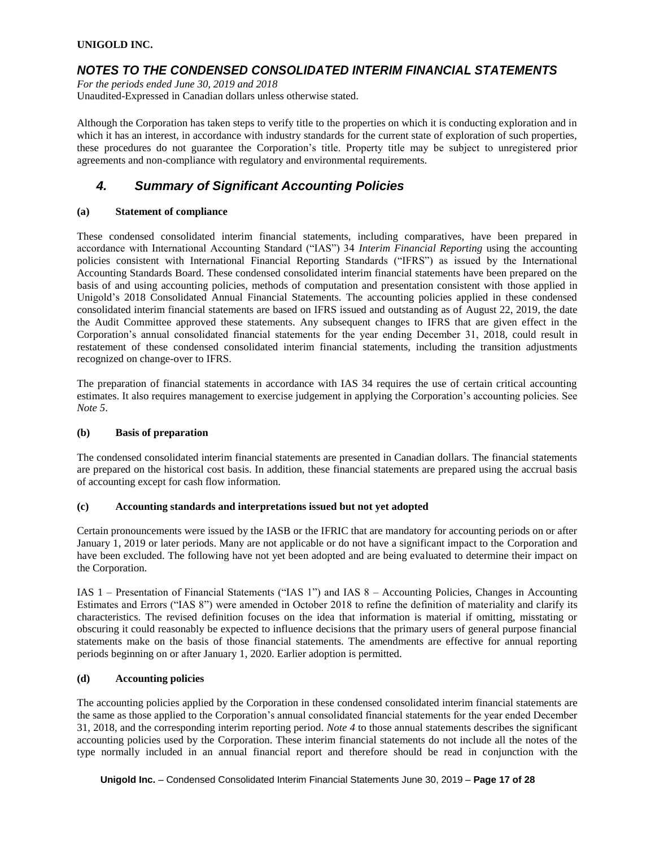## *NOTES TO THE CONDENSED CONSOLIDATED INTERIM FINANCIAL STATEMENTS*

*For the periods ended June 30, 2019 and 2018* Unaudited-Expressed in Canadian dollars unless otherwise stated.

Although the Corporation has taken steps to verify title to the properties on which it is conducting exploration and in which it has an interest, in accordance with industry standards for the current state of exploration of such properties, these procedures do not guarantee the Corporation's title. Property title may be subject to unregistered prior agreements and non-compliance with regulatory and environmental requirements.

# *4. Summary of Significant Accounting Policies*

### **(a) Statement of compliance**

These condensed consolidated interim financial statements, including comparatives, have been prepared in accordance with International Accounting Standard ("IAS") 34 *Interim Financial Reporting* using the accounting policies consistent with International Financial Reporting Standards ("IFRS") as issued by the International Accounting Standards Board. These condensed consolidated interim financial statements have been prepared on the basis of and using accounting policies, methods of computation and presentation consistent with those applied in Unigold's 2018 Consolidated Annual Financial Statements. The accounting policies applied in these condensed consolidated interim financial statements are based on IFRS issued and outstanding as of August 22, 2019, the date the Audit Committee approved these statements. Any subsequent changes to IFRS that are given effect in the Corporation's annual consolidated financial statements for the year ending December 31, 2018, could result in restatement of these condensed consolidated interim financial statements, including the transition adjustments recognized on change-over to IFRS.

The preparation of financial statements in accordance with IAS 34 requires the use of certain critical accounting estimates. It also requires management to exercise judgement in applying the Corporation's accounting policies. See *Note 5*.

### **(b) Basis of preparation**

The condensed consolidated interim financial statements are presented in Canadian dollars. The financial statements are prepared on the historical cost basis. In addition, these financial statements are prepared using the accrual basis of accounting except for cash flow information.

### **(c) Accounting standards and interpretations issued but not yet adopted**

Certain pronouncements were issued by the IASB or the IFRIC that are mandatory for accounting periods on or after January 1, 2019 or later periods. Many are not applicable or do not have a significant impact to the Corporation and have been excluded. The following have not yet been adopted and are being evaluated to determine their impact on the Corporation.

IAS 1 – Presentation of Financial Statements ("IAS 1") and IAS 8 – Accounting Policies, Changes in Accounting Estimates and Errors ("IAS 8") were amended in October 2018 to refine the definition of materiality and clarify its characteristics. The revised definition focuses on the idea that information is material if omitting, misstating or obscuring it could reasonably be expected to influence decisions that the primary users of general purpose financial statements make on the basis of those financial statements. The amendments are effective for annual reporting periods beginning on or after January 1, 2020. Earlier adoption is permitted.

### **(d) Accounting policies**

The accounting policies applied by the Corporation in these condensed consolidated interim financial statements are the same as those applied to the Corporation's annual consolidated financial statements for the year ended December 31, 2018, and the corresponding interim reporting period. *Note 4* to those annual statements describes the significant accounting policies used by the Corporation. These interim financial statements do not include all the notes of the type normally included in an annual financial report and therefore should be read in conjunction with the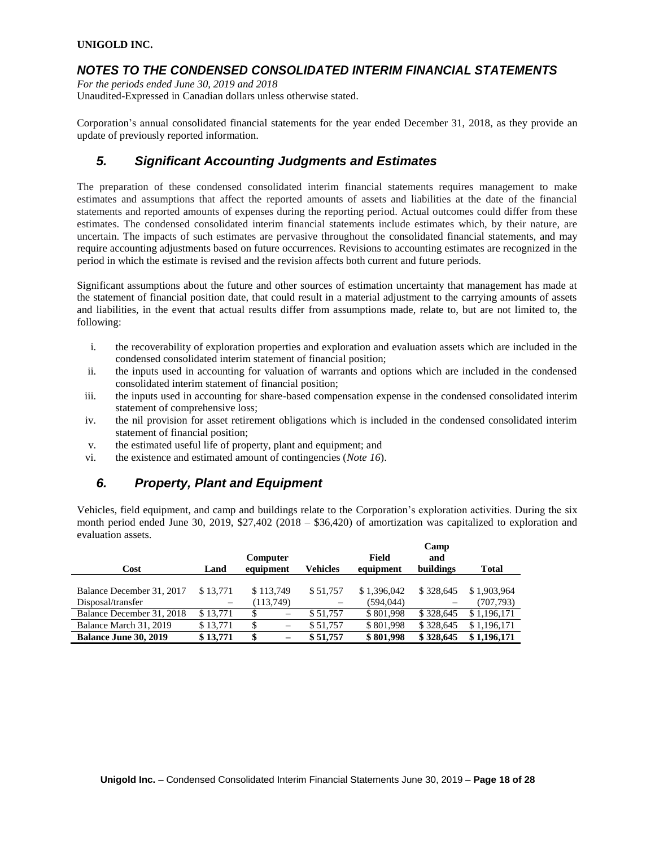## *NOTES TO THE CONDENSED CONSOLIDATED INTERIM FINANCIAL STATEMENTS*

*For the periods ended June 30, 2019 and 2018*

Unaudited-Expressed in Canadian dollars unless otherwise stated.

Corporation's annual consolidated financial statements for the year ended December 31, 2018, as they provide an update of previously reported information.

# *5. Significant Accounting Judgments and Estimates*

The preparation of these condensed consolidated interim financial statements requires management to make estimates and assumptions that affect the reported amounts of assets and liabilities at the date of the financial statements and reported amounts of expenses during the reporting period. Actual outcomes could differ from these estimates. The condensed consolidated interim financial statements include estimates which, by their nature, are uncertain. The impacts of such estimates are pervasive throughout the consolidated financial statements, and may require accounting adjustments based on future occurrences. Revisions to accounting estimates are recognized in the period in which the estimate is revised and the revision affects both current and future periods.

Significant assumptions about the future and other sources of estimation uncertainty that management has made at the statement of financial position date, that could result in a material adjustment to the carrying amounts of assets and liabilities, in the event that actual results differ from assumptions made, relate to, but are not limited to, the following:

- i. the recoverability of exploration properties and exploration and evaluation assets which are included in the condensed consolidated interim statement of financial position;
- ii. the inputs used in accounting for valuation of warrants and options which are included in the condensed consolidated interim statement of financial position;
- iii. the inputs used in accounting for share-based compensation expense in the condensed consolidated interim statement of comprehensive loss;
- iv. the nil provision for asset retirement obligations which is included in the condensed consolidated interim statement of financial position;
- v. the estimated useful life of property, plant and equipment; and
- vi. the existence and estimated amount of contingencies (*Note 16*).

# *6. Property, Plant and Equipment*

Vehicles, field equipment, and camp and buildings relate to the Corporation's exploration activities. During the six month period ended June 30, 2019, \$27,402 (2018 – \$36,420) of amortization was capitalized to exploration and evaluation assets.

|                              |                          | Computer  |                 | Field       | Camp<br>and |             |
|------------------------------|--------------------------|-----------|-----------------|-------------|-------------|-------------|
| Cost                         | Land                     | equipment | <b>Vehicles</b> | equipment   | buildings   | Total       |
|                              |                          |           |                 |             |             |             |
| Balance December 31, 2017    | \$13.771                 | \$113,749 | \$51,757        | \$1.396,042 | \$328,645   | \$1,903,964 |
| Disposal/transfer            | $\overline{\phantom{m}}$ | (113,749) |                 | (594, 044)  |             | (707, 793)  |
| Balance December 31, 2018    | \$13.771                 | \$        | \$51,757        | \$801,998   | \$328,645   | \$1,196,171 |
| Balance March 31, 2019       | \$13.771                 | \$        | \$51,757        | \$801,998   | \$328,645   | \$1,196,171 |
| <b>Balance June 30, 2019</b> | \$13,771                 | \$        | \$51,757        | \$801,998   | \$328,645   | \$1,196,171 |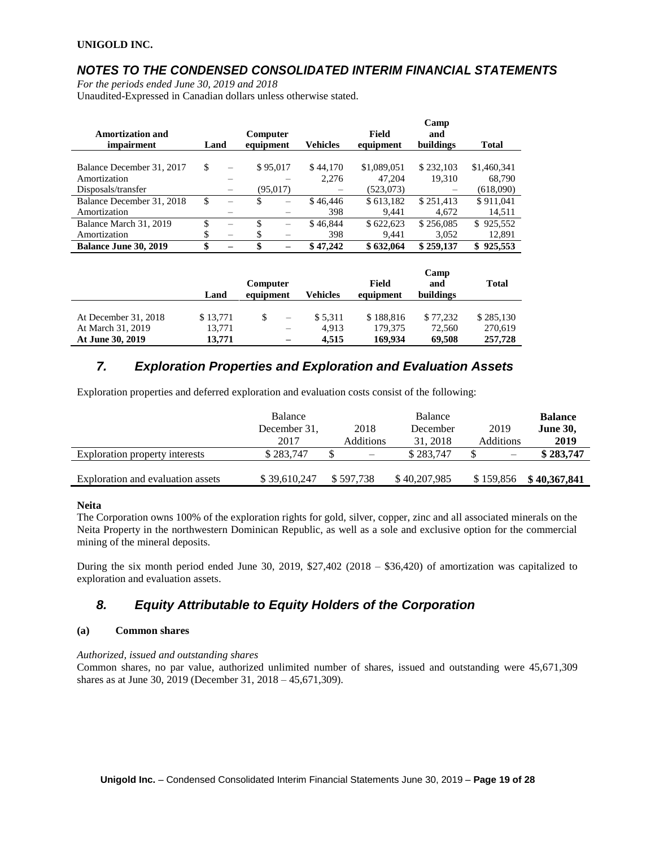# *NOTES TO THE CONDENSED CONSOLIDATED INTERIM FINANCIAL STATEMENTS*

*For the periods ended June 30, 2019 and 2018*

Unaudited-Expressed in Canadian dollars unless otherwise stated.

| <b>Amortization and</b>      |      |                          | <b>Computer</b> |                          |                 | <b>Field</b> | Camp<br>and |               |
|------------------------------|------|--------------------------|-----------------|--------------------------|-----------------|--------------|-------------|---------------|
| <i>impairment</i>            | Land |                          | equipment       |                          | <b>Vehicles</b> | equipment    | buildings   | <b>Total</b>  |
| Balance December 31, 2017    | \$   | $\overline{\phantom{m}}$ |                 | \$95,017                 | \$44,170        | \$1,089,051  | \$232,103   | \$1,460,341   |
| Amortization                 |      |                          |                 |                          | 2.276           | 47.204       | 19.310      | 68,790        |
| Disposals/transfer           |      |                          |                 | (95,017)                 |                 | (523,073)    |             | (618,090)     |
| Balance December 31, 2018    | \$   |                          | \$              | -                        | \$46,446        | \$613,182    | \$251.413   | \$911,041     |
| Amortization                 |      |                          |                 |                          | 398             | 9.441        | 4.672       | 14,511        |
| Balance March 31, 2019       | \$   | $\overline{\phantom{0}}$ | S               | $\overline{\phantom{0}}$ | \$46,844        | \$622.623    | \$256,085   | \$925,552     |
| Amortization                 | \$   |                          | \$.             |                          | 398             | 9.441        | 3.052       | 12,891        |
| <b>Balance June 30, 2019</b> | \$   |                          | \$              |                          | \$47,242        | \$632,064    | \$259,137   | 925,553<br>\$ |

|                      |          |           |                          |          |           | Camp      |              |
|----------------------|----------|-----------|--------------------------|----------|-----------|-----------|--------------|
|                      |          | Computer  |                          |          | Field     | and       | <b>Total</b> |
|                      | Land     | equipment |                          | Vehicles | equipment | buildings |              |
|                      |          |           |                          |          |           |           |              |
| At December 31, 2018 | \$13,771 |           | $\overline{\phantom{m}}$ | \$5.311  | \$188,816 | \$77.232  | \$285,130    |
| At March 31, 2019    | 13,771   |           | $\qquad \qquad$          | 4.913    | 179.375   | 72,560    | 270,619      |
| At June 30, 2019     | 13.771   |           |                          | 4.515    | 169,934   | 69.508    | 257,728      |

# *7. Exploration Properties and Exploration and Evaluation Assets*

Exploration properties and deferred exploration and evaluation costs consist of the following:

|                                   | <b>Balance</b> |                          | Balance      |           | <b>Balance</b>  |
|-----------------------------------|----------------|--------------------------|--------------|-----------|-----------------|
|                                   | December 31.   | 2018                     | December     | 2019      | <b>June 30,</b> |
|                                   | 2017           | Additions                | 31, 2018     | Additions | 2019            |
| Exploration property interests    | \$283,747      | $\overline{\phantom{0}}$ | \$283,747    |           | \$283,747       |
|                                   |                |                          |              |           |                 |
| Exploration and evaluation assets | \$39,610,247   | \$597.738                | \$40,207,985 | \$159.856 | \$40,367,841    |

### **Neita**

The Corporation owns 100% of the exploration rights for gold, silver, copper, zinc and all associated minerals on the Neita Property in the northwestern Dominican Republic, as well as a sole and exclusive option for the commercial mining of the mineral deposits.

During the six month period ended June 30, 2019, \$27,402 (2018 – \$36,420) of amortization was capitalized to exploration and evaluation assets.

# *8. Equity Attributable to Equity Holders of the Corporation*

### **(a) Common shares**

*Authorized, issued and outstanding shares*

Common shares, no par value, authorized unlimited number of shares, issued and outstanding were 45,671,309 shares as at June 30, 2019 (December 31, 2018 – 45,671,309).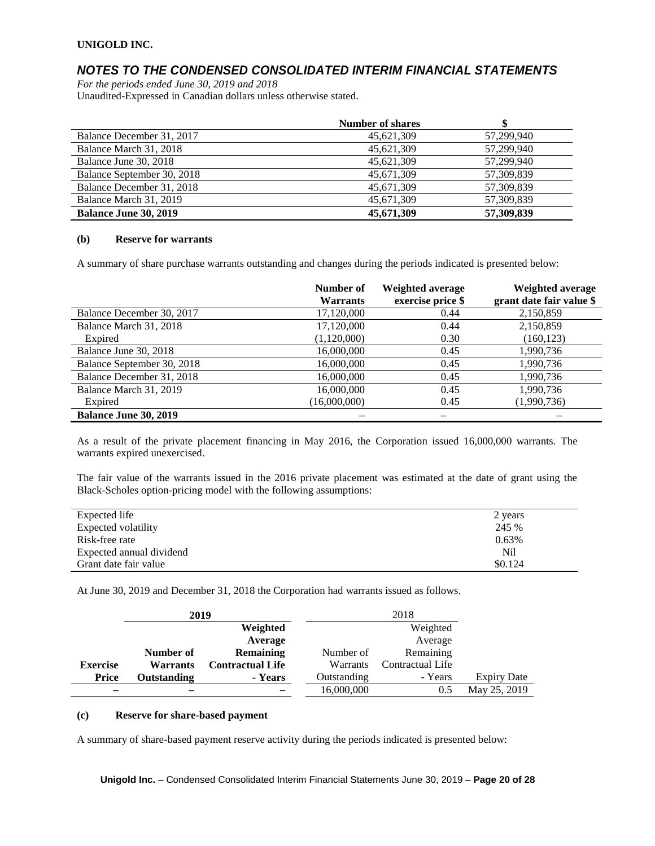## *NOTES TO THE CONDENSED CONSOLIDATED INTERIM FINANCIAL STATEMENTS*

*For the periods ended June 30, 2019 and 2018* Unaudited-Expressed in Canadian dollars unless otherwise stated.

|                              | <b>Number of shares</b> |            |
|------------------------------|-------------------------|------------|
| Balance December 31, 2017    | 45,621,309              | 57.299.940 |
| Balance March 31, 2018       | 45,621,309              | 57.299.940 |
| Balance June 30, 2018        | 45,621,309              | 57,299,940 |
| Balance September 30, 2018   | 45,671,309              | 57,309,839 |
| Balance December 31, 2018    | 45,671,309              | 57,309,839 |
| Balance March 31, 2019       | 45,671,309              | 57,309,839 |
| <b>Balance June 30, 2019</b> | 45,671,309              | 57,309,839 |

#### **(b) Reserve for warrants**

A summary of share purchase warrants outstanding and changes during the periods indicated is presented below:

|                              | Number of<br><b>Warrants</b> | Weighted average<br>exercise price \$ | Weighted average<br>grant date fair value \$ |
|------------------------------|------------------------------|---------------------------------------|----------------------------------------------|
| Balance December 30, 2017    | 17,120,000                   | 0.44                                  | 2,150,859                                    |
| Balance March 31, 2018       | 17,120,000                   | 0.44                                  | 2,150,859                                    |
| Expired                      | (1,120,000)                  | 0.30                                  | (160, 123)                                   |
| Balance June 30, 2018        | 16,000,000                   | 0.45                                  | 1,990,736                                    |
| Balance September 30, 2018   | 16,000,000                   | 0.45                                  | 1,990,736                                    |
| Balance December 31, 2018    | 16,000,000                   | 0.45                                  | 1,990,736                                    |
| Balance March 31, 2019       | 16,000,000                   | 0.45                                  | 1,990,736                                    |
| Expired                      | 16,000,000                   | 0.45                                  | (1,990,736)                                  |
| <b>Balance June 30, 2019</b> |                              |                                       |                                              |

As a result of the private placement financing in May 2016, the Corporation issued 16,000,000 warrants. The warrants expired unexercised.

The fair value of the warrants issued in the 2016 private placement was estimated at the date of grant using the Black-Scholes option-pricing model with the following assumptions:

| Expected life            | 2 years |
|--------------------------|---------|
| Expected volatility      | 245 %   |
| Risk-free rate           | 0.63%   |
| Expected annual dividend | Nil     |
| Grant date fair value    | \$0.124 |

At June 30, 2019 and December 31, 2018 the Corporation had warrants issued as follows.

|                 | 2019               |                         |                 |                  |                    |
|-----------------|--------------------|-------------------------|-----------------|------------------|--------------------|
|                 |                    | Weighted                |                 |                  |                    |
|                 |                    | Average                 |                 | Average          |                    |
|                 | Number of          | <b>Remaining</b>        | Number of       | Remaining        |                    |
| <b>Exercise</b> | <b>Warrants</b>    | <b>Contractual Life</b> | <b>Warrants</b> | Contractual Life |                    |
| Price           | <b>Outstanding</b> | - Years                 | Outstanding     | - Years          | <b>Expiry Date</b> |
|                 |                    |                         | 16,000,000      | 0.5              | May 25, 2019       |

#### **(c) Reserve for share-based payment**

A summary of share-based payment reserve activity during the periods indicated is presented below:

**Unigold Inc.** – Condensed Consolidated Interim Financial Statements June 30, 2019 – **Page 20 of 28**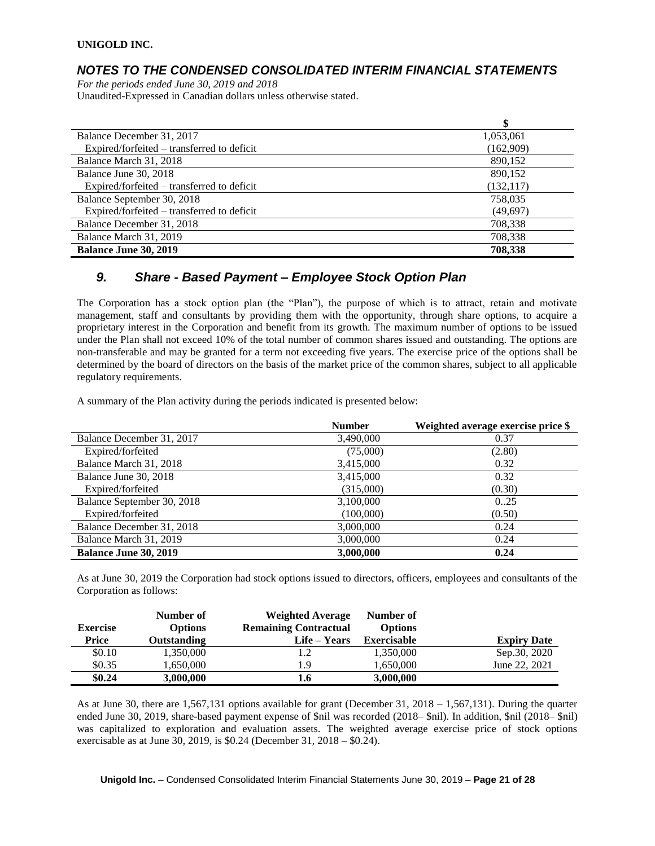## *NOTES TO THE CONDENSED CONSOLIDATED INTERIM FINANCIAL STATEMENTS*

*For the periods ended June 30, 2019 and 2018* Unaudited-Expressed in Canadian dollars unless otherwise stated.

|                                            | \$         |
|--------------------------------------------|------------|
| Balance December 31, 2017                  | 1,053,061  |
| Expired/forfeited – transferred to deficit | (162,909)  |
| Balance March 31, 2018                     | 890,152    |
| Balance June 30, 2018                      | 890,152    |
| Expired/forfeited - transferred to deficit | (132, 117) |
| Balance September 30, 2018                 | 758,035    |
| Expired/forfeited – transferred to deficit | (49, 697)  |
| Balance December 31, 2018                  | 708,338    |
| Balance March 31, 2019                     | 708,338    |
| <b>Balance June 30, 2019</b>               | 708,338    |

## *9. Share - Based Payment – Employee Stock Option Plan*

The Corporation has a stock option plan (the "Plan"), the purpose of which is to attract, retain and motivate management, staff and consultants by providing them with the opportunity, through share options, to acquire a proprietary interest in the Corporation and benefit from its growth. The maximum number of options to be issued under the Plan shall not exceed 10% of the total number of common shares issued and outstanding. The options are non-transferable and may be granted for a term not exceeding five years. The exercise price of the options shall be determined by the board of directors on the basis of the market price of the common shares, subject to all applicable regulatory requirements.

A summary of the Plan activity during the periods indicated is presented below:

|                              | <b>Number</b> | Weighted average exercise price \$ |
|------------------------------|---------------|------------------------------------|
| Balance December 31, 2017    | 3,490,000     | 0.37                               |
| Expired/forfeited            | (75,000)      | (2.80)                             |
| Balance March 31, 2018       | 3,415,000     | 0.32                               |
| Balance June 30, 2018        | 3,415,000     | 0.32                               |
| Expired/forfeited            | (315,000)     | (0.30)                             |
| Balance September 30, 2018   | 3,100,000     | 0.25                               |
| Expired/forfeited            | (100,000)     | (0.50)                             |
| Balance December 31, 2018    | 3,000,000     | 0.24                               |
| Balance March 31, 2019       | 3,000,000     | 0.24                               |
| <b>Balance June 30, 2019</b> | 3,000,000     | 0.24                               |

As at June 30, 2019 the Corporation had stock options issued to directors, officers, employees and consultants of the Corporation as follows:

|                 | Number of      | <b>Weighted Average</b>      | Number of          |                    |
|-----------------|----------------|------------------------------|--------------------|--------------------|
| <b>Exercise</b> | <b>Options</b> | <b>Remaining Contractual</b> | <b>Options</b>     |                    |
| Price           | Outstanding    | Life – Years                 | <b>Exercisable</b> | <b>Expiry Date</b> |
| \$0.10          | 1,350,000      |                              | 1,350,000          | Sep.30, 2020       |
| \$0.35          | 1,650,000      | 1.9                          | 1,650,000          | June 22, 2021      |
| \$0.24          | 3,000,000      | 1.6                          | 3,000,000          |                    |

As at June 30, there are 1,567,131 options available for grant (December 31, 2018 – 1,567,131). During the quarter ended June 30, 2019, share-based payment expense of \$nil was recorded (2018– \$nil). In addition, \$nil (2018– \$nil) was capitalized to exploration and evaluation assets. The weighted average exercise price of stock options exercisable as at June 30, 2019, is \$0.24 (December 31, 2018 – \$0.24).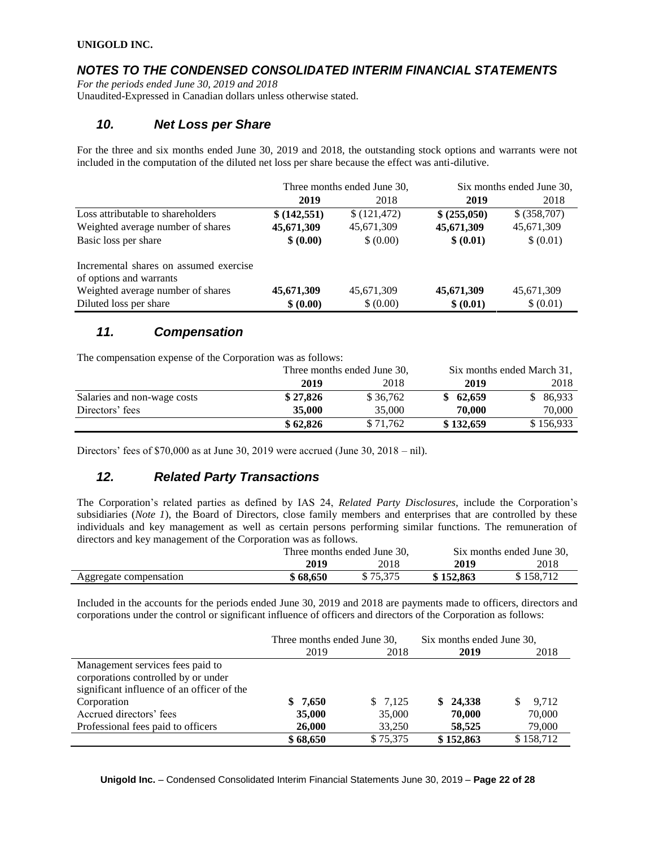# *NOTES TO THE CONDENSED CONSOLIDATED INTERIM FINANCIAL STATEMENTS*

*For the periods ended June 30, 2019 and 2018* Unaudited-Expressed in Canadian dollars unless otherwise stated.

## *10. Net Loss per Share*

For the three and six months ended June 30, 2019 and 2018, the outstanding stock options and warrants were not included in the computation of the diluted net loss per share because the effect was anti-dilutive.

|                                        | Three months ended June 30, |              | Six months ended June 30, |              |
|----------------------------------------|-----------------------------|--------------|---------------------------|--------------|
|                                        | 2019                        | 2018         | 2019                      | 2018         |
| Loss attributable to shareholders      | \$ (142, 551)               | \$(121, 472) | \$ (255,050)              | \$ (358,707) |
| Weighted average number of shares      | 45,671,309                  | 45,671,309   | 45,671,309                | 45,671,309   |
| Basic loss per share                   | \$ (0.00)                   | \$ (0.00)    | \$ (0.01)                 | \$ (0.01)    |
| Incremental shares on assumed exercise |                             |              |                           |              |
| of options and warrants                |                             |              |                           |              |
| Weighted average number of shares      | 45,671,309                  | 45,671,309   | 45,671,309                | 45,671,309   |
| Diluted loss per share                 | \$ (0.00)                   | \$ (0.00)    | \$ (0.01)                 | \$ (0.01)    |

## *11. Compensation*

The compensation expense of the Corporation was as follows:

|                             | Three months ended June 30, |          | Six months ended March 31, |           |
|-----------------------------|-----------------------------|----------|----------------------------|-----------|
|                             | 2019                        | 2018     | 2019                       | 2018      |
| Salaries and non-wage costs | \$27,826                    | \$36,762 | \$62,659                   | \$86,933  |
| Directors' fees             | 35,000                      | 35,000   | 70,000                     | 70,000    |
|                             | \$62.826                    | \$71,762 | \$132,659                  | \$156,933 |

Directors' fees of  $$70,000$  as at June 30, 2019 were accrued (June 30, 2018 – nil).

# *12. Related Party Transactions*

The Corporation's related parties as defined by IAS 24, *Related Party Disclosures*, include the Corporation's subsidiaries (*Note 1*), the Board of Directors, close family members and enterprises that are controlled by these individuals and key management as well as certain persons performing similar functions. The remuneration of directors and key management of the Corporation was as follows.

|                        | Three months ended June 30, |          | Six months ended June 30. |           |
|------------------------|-----------------------------|----------|---------------------------|-----------|
|                        | 2019                        | 2018     | 2019                      | 2018      |
| Aggregate compensation | \$68,650                    | \$75.375 | \$152,863                 | \$158.712 |

Included in the accounts for the periods ended June 30, 2019 and 2018 are payments made to officers, directors and corporations under the control or significant influence of officers and directors of the Corporation as follows:

|                                            | Three months ended June 30, |          | Six months ended June 30, |           |
|--------------------------------------------|-----------------------------|----------|---------------------------|-----------|
|                                            | 2019                        | 2018     | 2019                      | 2018      |
| Management services fees paid to           |                             |          |                           |           |
| corporations controlled by or under        |                             |          |                           |           |
| significant influence of an officer of the |                             |          |                           |           |
| Corporation                                | \$7,650                     | \$7,125  | \$24,338                  | 9,712     |
| Accrued directors' fees                    | 35,000                      | 35,000   | 70,000                    | 70,000    |
| Professional fees paid to officers         | 26,000                      | 33,250   | 58.525                    | 79,000    |
|                                            | \$68,650                    | \$75,375 | \$152,863                 | \$158,712 |

**Unigold Inc.** – Condensed Consolidated Interim Financial Statements June 30, 2019 – **Page 22 of 28**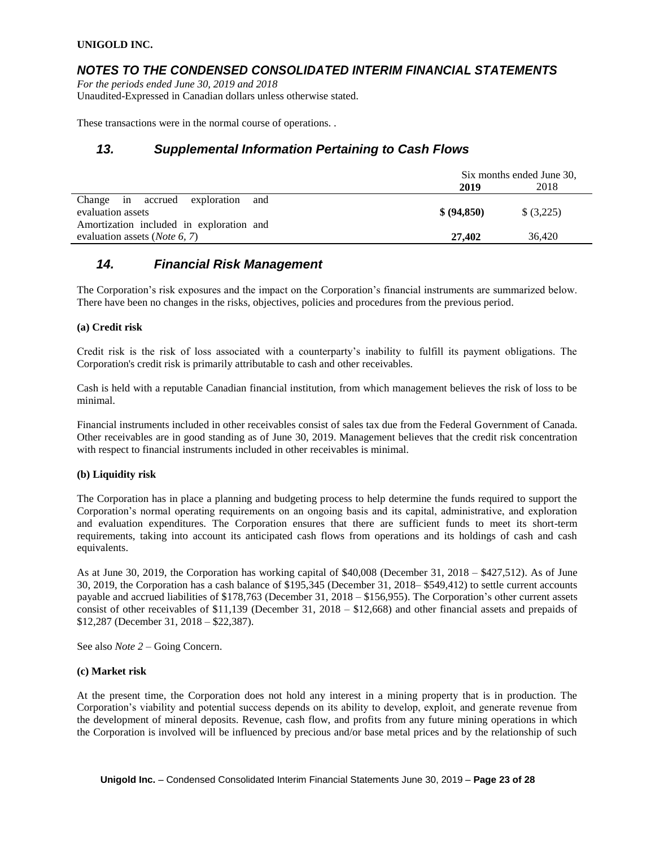## *NOTES TO THE CONDENSED CONSOLIDATED INTERIM FINANCIAL STATEMENTS*

*For the periods ended June 30, 2019 and 2018* Unaudited-Expressed in Canadian dollars unless otherwise stated.

These transactions were in the normal course of operations. .

## *13. Supplemental Information Pertaining to Cash Flows*

|                                          | Six months ended June 30, |            |  |
|------------------------------------------|---------------------------|------------|--|
|                                          | 2019                      | 2018       |  |
| Change in accrued exploration<br>and     |                           |            |  |
| evaluation assets                        | \$ (94.850)               | \$ (3,225) |  |
| Amortization included in exploration and |                           |            |  |
| evaluation assets ( <i>Note 6</i> , 7)   | 27,402                    | 36,420     |  |

## *14. Financial Risk Management*

The Corporation's risk exposures and the impact on the Corporation's financial instruments are summarized below. There have been no changes in the risks, objectives, policies and procedures from the previous period.

### **(a) Credit risk**

Credit risk is the risk of loss associated with a counterparty's inability to fulfill its payment obligations. The Corporation's credit risk is primarily attributable to cash and other receivables.

Cash is held with a reputable Canadian financial institution, from which management believes the risk of loss to be minimal.

Financial instruments included in other receivables consist of sales tax due from the Federal Government of Canada. Other receivables are in good standing as of June 30, 2019. Management believes that the credit risk concentration with respect to financial instruments included in other receivables is minimal.

#### **(b) Liquidity risk**

The Corporation has in place a planning and budgeting process to help determine the funds required to support the Corporation's normal operating requirements on an ongoing basis and its capital, administrative, and exploration and evaluation expenditures. The Corporation ensures that there are sufficient funds to meet its short-term requirements, taking into account its anticipated cash flows from operations and its holdings of cash and cash equivalents.

As at June 30, 2019, the Corporation has working capital of \$40,008 (December 31, 2018 – \$427,512). As of June 30, 2019, the Corporation has a cash balance of \$195,345 (December 31, 2018– \$549,412) to settle current accounts payable and accrued liabilities of \$178,763 (December 31, 2018 – \$156,955). The Corporation's other current assets consist of other receivables of \$11,139 (December 31, 2018 – \$12,668) and other financial assets and prepaids of \$12,287 (December 31, 2018 – \$22,387).

See also *Note 2* – Going Concern.

#### **(c) Market risk**

At the present time, the Corporation does not hold any interest in a mining property that is in production. The Corporation's viability and potential success depends on its ability to develop, exploit, and generate revenue from the development of mineral deposits. Revenue, cash flow, and profits from any future mining operations in which the Corporation is involved will be influenced by precious and/or base metal prices and by the relationship of such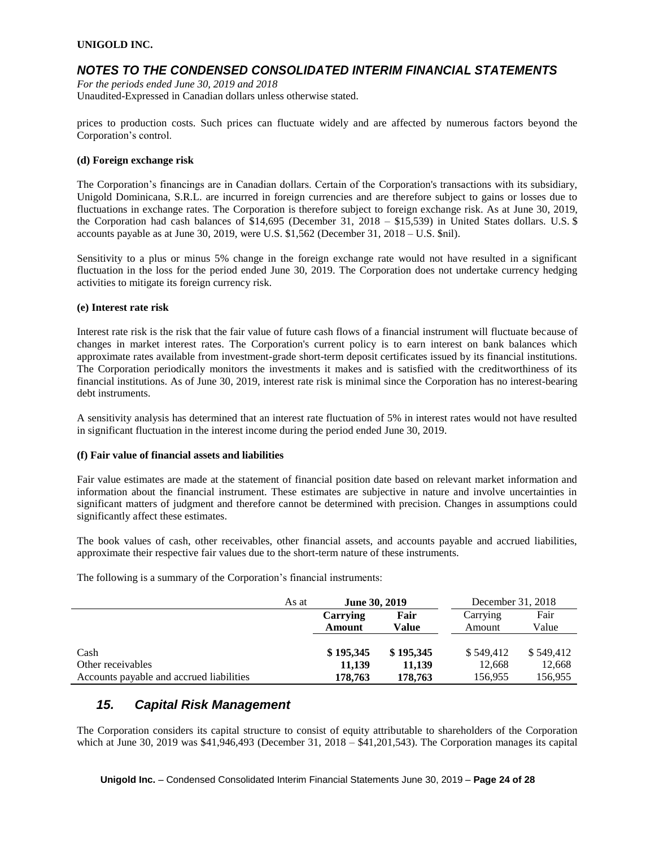## *NOTES TO THE CONDENSED CONSOLIDATED INTERIM FINANCIAL STATEMENTS*

*For the periods ended June 30, 2019 and 2018* Unaudited-Expressed in Canadian dollars unless otherwise stated.

prices to production costs. Such prices can fluctuate widely and are affected by numerous factors beyond the Corporation's control.

#### **(d) Foreign exchange risk**

The Corporation's financings are in Canadian dollars. Certain of the Corporation's transactions with its subsidiary, Unigold Dominicana, S.R.L. are incurred in foreign currencies and are therefore subject to gains or losses due to fluctuations in exchange rates. The Corporation is therefore subject to foreign exchange risk. As at June 30, 2019, the Corporation had cash balances of \$14,695 (December 31, 2018 – \$15,539) in United States dollars. U.S. \$ accounts payable as at June 30, 2019, were U.S. \$1,562 (December 31, 2018 – U.S. \$nil).

Sensitivity to a plus or minus 5% change in the foreign exchange rate would not have resulted in a significant fluctuation in the loss for the period ended June 30, 2019. The Corporation does not undertake currency hedging activities to mitigate its foreign currency risk.

### **(e) Interest rate risk**

Interest rate risk is the risk that the fair value of future cash flows of a financial instrument will fluctuate because of changes in market interest rates. The Corporation's current policy is to earn interest on bank balances which approximate rates available from investment-grade short-term deposit certificates issued by its financial institutions. The Corporation periodically monitors the investments it makes and is satisfied with the creditworthiness of its financial institutions. As of June 30, 2019, interest rate risk is minimal since the Corporation has no interest-bearing debt instruments.

A sensitivity analysis has determined that an interest rate fluctuation of 5% in interest rates would not have resulted in significant fluctuation in the interest income during the period ended June 30, 2019.

#### **(f) Fair value of financial assets and liabilities**

Fair value estimates are made at the statement of financial position date based on relevant market information and information about the financial instrument. These estimates are subjective in nature and involve uncertainties in significant matters of judgment and therefore cannot be determined with precision. Changes in assumptions could significantly affect these estimates.

The book values of cash, other receivables, other financial assets, and accounts payable and accrued liabilities, approximate their respective fair values due to the short-term nature of these instruments.

The following is a summary of the Corporation's financial instruments:

|                                          | As at | <b>June 30, 2019</b> |           | December 31, 2018 |           |
|------------------------------------------|-------|----------------------|-----------|-------------------|-----------|
|                                          |       | Carrying             | Fair      | Carrying          | Fair      |
|                                          |       | Amount               | Value     | Amount            | Value     |
|                                          |       |                      |           |                   |           |
| Cash                                     |       | \$195,345            | \$195,345 | \$549.412         | \$549,412 |
| Other receivables                        |       | 11.139               | 11.139    | 12,668            | 12,668    |
| Accounts payable and accrued liabilities |       | 178,763              | 178,763   | 156,955           | 156,955   |

## *15. Capital Risk Management*

The Corporation considers its capital structure to consist of equity attributable to shareholders of the Corporation which at June 30, 2019 was  $$41,946,493$  (December 31, 2018 –  $$41,201,543$ ). The Corporation manages its capital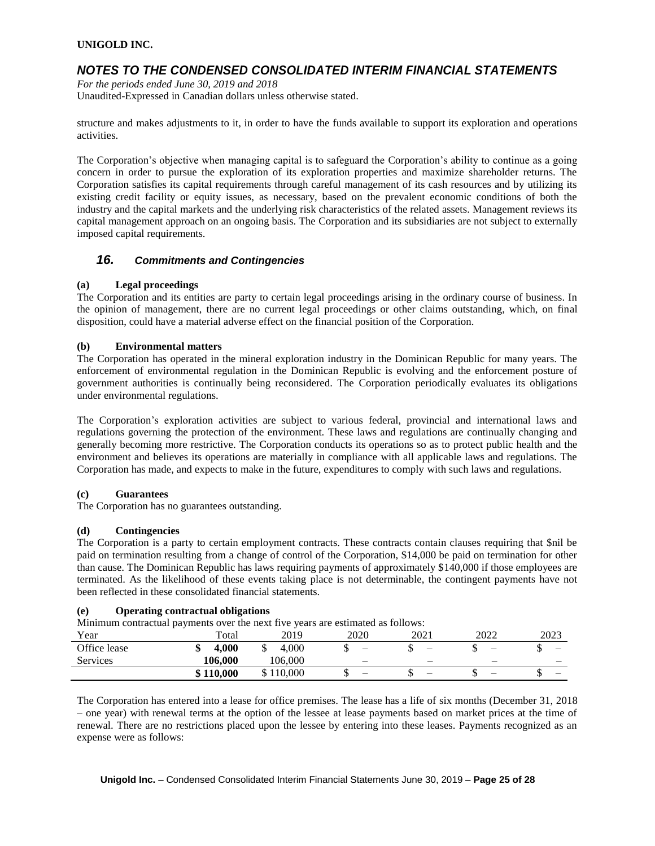## *NOTES TO THE CONDENSED CONSOLIDATED INTERIM FINANCIAL STATEMENTS*

*For the periods ended June 30, 2019 and 2018* Unaudited-Expressed in Canadian dollars unless otherwise stated.

structure and makes adjustments to it, in order to have the funds available to support its exploration and operations activities.

The Corporation's objective when managing capital is to safeguard the Corporation's ability to continue as a going concern in order to pursue the exploration of its exploration properties and maximize shareholder returns. The Corporation satisfies its capital requirements through careful management of its cash resources and by utilizing its existing credit facility or equity issues, as necessary, based on the prevalent economic conditions of both the industry and the capital markets and the underlying risk characteristics of the related assets. Management reviews its capital management approach on an ongoing basis. The Corporation and its subsidiaries are not subject to externally imposed capital requirements.

### *16. Commitments and Contingencies*

### **(a) Legal proceedings**

The Corporation and its entities are party to certain legal proceedings arising in the ordinary course of business. In the opinion of management, there are no current legal proceedings or other claims outstanding, which, on final disposition, could have a material adverse effect on the financial position of the Corporation.

### **(b) Environmental matters**

The Corporation has operated in the mineral exploration industry in the Dominican Republic for many years. The enforcement of environmental regulation in the Dominican Republic is evolving and the enforcement posture of government authorities is continually being reconsidered. The Corporation periodically evaluates its obligations under environmental regulations.

The Corporation's exploration activities are subject to various federal, provincial and international laws and regulations governing the protection of the environment. These laws and regulations are continually changing and generally becoming more restrictive. The Corporation conducts its operations so as to protect public health and the environment and believes its operations are materially in compliance with all applicable laws and regulations. The Corporation has made, and expects to make in the future, expenditures to comply with such laws and regulations.

### **(c) Guarantees**

The Corporation has no guarantees outstanding.

#### **(d) Contingencies**

The Corporation is a party to certain employment contracts. These contracts contain clauses requiring that \$nil be paid on termination resulting from a change of control of the Corporation, \$14,000 be paid on termination for other than cause. The Dominican Republic has laws requiring payments of approximately \$140,000 if those employees are terminated. As the likelihood of these events taking place is not determinable, the contingent payments have not been reflected in these consolidated financial statements.

### **(e) Operating contractual obligations**

Minimum contractual payments over the next five years are estimated as follows:

| Year            | $\overline{\phantom{a}}$<br>Total | 2019                | 2020                     | 2021 | 2022                     | 2023                     |
|-----------------|-----------------------------------|---------------------|--------------------------|------|--------------------------|--------------------------|
| Office lease    | 4.000<br>v                        | 4.000<br>◡          |                          | -    | $\overline{\phantom{0}}$ | $\overline{\phantom{a}}$ |
| <b>Services</b> | 106.000                           | 106.000             | $\overline{\phantom{0}}$ |      | $\overline{\phantom{0}}$ |                          |
|                 | \$110,000                         | 10.000<br>ሰ 1<br>٠D | -                        | -    |                          |                          |

The Corporation has entered into a lease for office premises. The lease has a life of six months (December 31, 2018 – one year) with renewal terms at the option of the lessee at lease payments based on market prices at the time of renewal. There are no restrictions placed upon the lessee by entering into these leases. Payments recognized as an expense were as follows: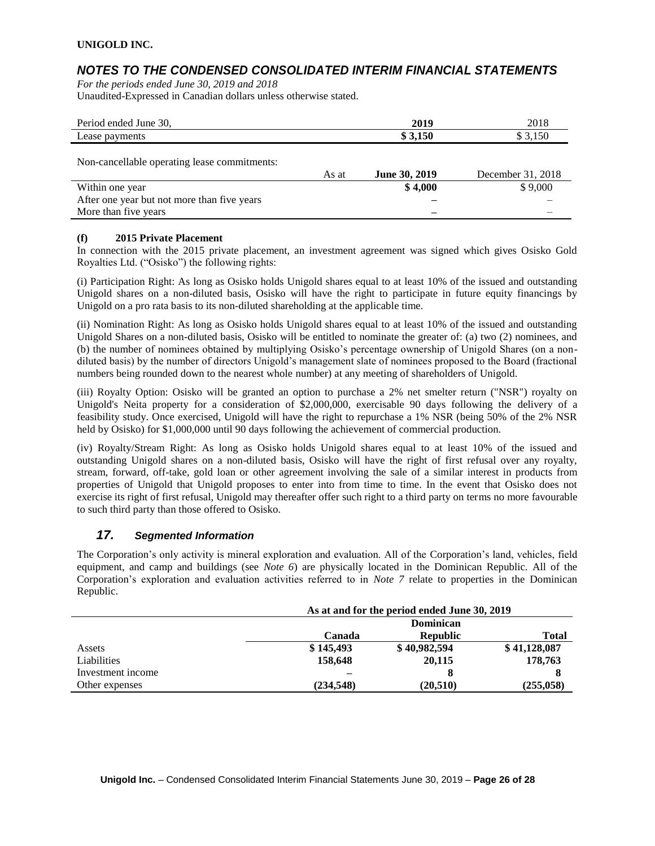## *NOTES TO THE CONDENSED CONSOLIDATED INTERIM FINANCIAL STATEMENTS*

*For the periods ended June 30, 2019 and 2018* Unaudited-Expressed in Canadian dollars unless otherwise stated.

| Period ended June 30,                        |       | 2019          | 2018              |
|----------------------------------------------|-------|---------------|-------------------|
| Lease payments                               |       | \$3,150       | \$3,150           |
| Non-cancellable operating lease commitments: | As at | June 30, 2019 | December 31, 2018 |
| Within one year                              |       | \$4,000       | \$9,000           |
| After one year but not more than five years  |       |               |                   |
| More than five years                         |       |               |                   |

### **(f) 2015 Private Placement**

In connection with the 2015 private placement, an investment agreement was signed which gives Osisko Gold Royalties Ltd. ("Osisko") the following rights:

(i) Participation Right: As long as Osisko holds Unigold shares equal to at least 10% of the issued and outstanding Unigold shares on a non-diluted basis, Osisko will have the right to participate in future equity financings by Unigold on a pro rata basis to its non-diluted shareholding at the applicable time.

(ii) Nomination Right: As long as Osisko holds Unigold shares equal to at least 10% of the issued and outstanding Unigold Shares on a non-diluted basis, Osisko will be entitled to nominate the greater of: (a) two (2) nominees, and (b) the number of nominees obtained by multiplying Osisko's percentage ownership of Unigold Shares (on a nondiluted basis) by the number of directors Unigold's management slate of nominees proposed to the Board (fractional numbers being rounded down to the nearest whole number) at any meeting of shareholders of Unigold.

(iii) Royalty Option: Osisko will be granted an option to purchase a 2% net smelter return ("NSR") royalty on Unigold's Neita property for a consideration of \$2,000,000, exercisable 90 days following the delivery of a feasibility study. Once exercised, Unigold will have the right to repurchase a 1% NSR (being 50% of the 2% NSR held by Osisko) for \$1,000,000 until 90 days following the achievement of commercial production.

(iv) Royalty/Stream Right: As long as Osisko holds Unigold shares equal to at least 10% of the issued and outstanding Unigold shares on a non-diluted basis, Osisko will have the right of first refusal over any royalty, stream, forward, off-take, gold loan or other agreement involving the sale of a similar interest in products from properties of Unigold that Unigold proposes to enter into from time to time. In the event that Osisko does not exercise its right of first refusal, Unigold may thereafter offer such right to a third party on terms no more favourable to such third party than those offered to Osisko.

### *17. Segmented Information*

The Corporation's only activity is mineral exploration and evaluation. All of the Corporation's land, vehicles, field equipment, and camp and buildings (see *Note 6*) are physically located in the Dominican Republic. All of the Corporation's exploration and evaluation activities referred to in *Note 7* relate to properties in the Dominican Republic.

|                   | As at and for the period ended June 30, 2019 |                  |              |  |
|-------------------|----------------------------------------------|------------------|--------------|--|
|                   |                                              | <b>Dominican</b> |              |  |
|                   | Canada                                       | <b>Republic</b>  | Total        |  |
| Assets            | \$145,493                                    | \$40,982,594     | \$41,128,087 |  |
| Liabilities       | 158,648                                      | 20,115           | 178,763      |  |
| Investment income |                                              | 8                | 8            |  |
| Other expenses    | (234, 548)                                   | (20, 510)        | (255,058)    |  |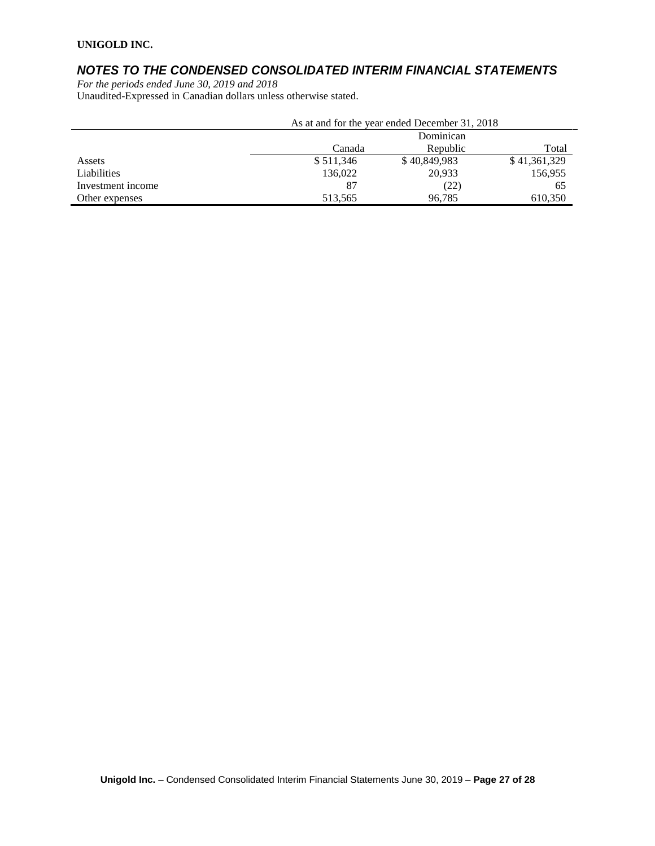# *NOTES TO THE CONDENSED CONSOLIDATED INTERIM FINANCIAL STATEMENTS*

*For the periods ended June 30, 2019 and 2018* Unaudited-Expressed in Canadian dollars unless otherwise stated.

| As at and for the year ended December 31, 2018 |                             |              |              |  |
|------------------------------------------------|-----------------------------|--------------|--------------|--|
|                                                |                             | Dominican    |              |  |
|                                                | Republic<br>Canada<br>Total |              |              |  |
| Assets                                         | \$511,346                   | \$40,849,983 | \$41,361,329 |  |
| Liabilities                                    | 136,022                     | 20.933       | 156,955      |  |
| Investment income                              | 87                          | (22)         | 65           |  |
| Other expenses                                 | 513,565                     | 96.785       | 610,350      |  |